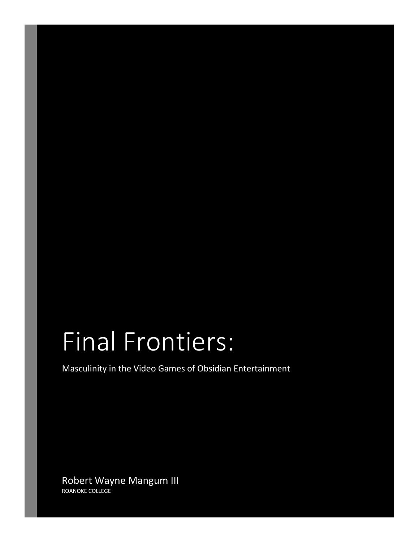# Final Frontiers:

Masculinity in the Video Games of Obsidian Entertainment

Robert Wayne Mangum III ROANOKE COLLEGE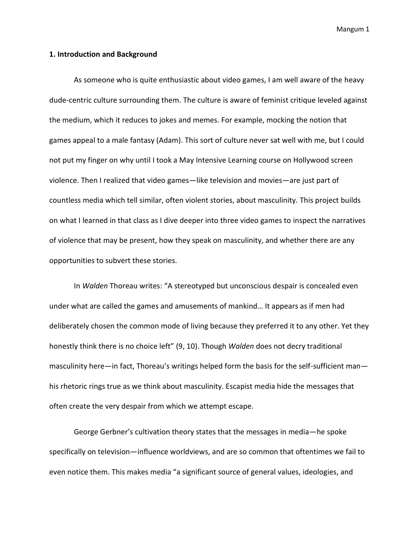#### **1. Introduction and Background**

As someone who is quite enthusiastic about video games, I am well aware of the heavy dude-centric culture surrounding them. The culture is aware of feminist critique leveled against the medium, which it reduces to jokes and memes. For example, mocking the notion that games appeal to a male fantasy (Adam). This sort of culture never sat well with me, but I could not put my finger on why until I took a May Intensive Learning course on Hollywood screen violence. Then I realized that video games—like television and movies—are just part of countless media which tell similar, often violent stories, about masculinity. This project builds on what I learned in that class as I dive deeper into three video games to inspect the narratives of violence that may be present, how they speak on masculinity, and whether there are any opportunities to subvert these stories.

In *Walden* Thoreau writes: "A stereotyped but unconscious despair is concealed even under what are called the games and amusements of mankind… It appears as if men had deliberately chosen the common mode of living because they preferred it to any other. Yet they honestly think there is no choice left" (9, 10). Though *Walden* does not decry traditional masculinity here—in fact, Thoreau's writings helped form the basis for the self-sufficient man his rhetoric rings true as we think about masculinity. Escapist media hide the messages that often create the very despair from which we attempt escape.

George Gerbner's cultivation theory states that the messages in media—he spoke specifically on television—influence worldviews, and are so common that oftentimes we fail to even notice them. This makes media "a significant source of general values, ideologies, and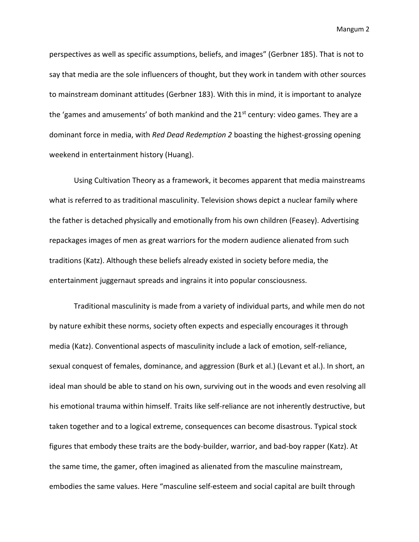perspectives as well as specific assumptions, beliefs, and images" (Gerbner 185). That is not to say that media are the sole influencers of thought, but they work in tandem with other sources to mainstream dominant attitudes (Gerbner 183). With this in mind, it is important to analyze the 'games and amusements' of both mankind and the  $21<sup>st</sup>$  century: video games. They are a dominant force in media, with *Red Dead Redemption 2* boasting the highest-grossing opening weekend in entertainment history (Huang).

Using Cultivation Theory as a framework, it becomes apparent that media mainstreams what is referred to as traditional masculinity. Television shows depict a nuclear family where the father is detached physically and emotionally from his own children (Feasey). Advertising repackages images of men as great warriors for the modern audience alienated from such traditions (Katz). Although these beliefs already existed in society before media, the entertainment juggernaut spreads and ingrains it into popular consciousness.

Traditional masculinity is made from a variety of individual parts, and while men do not by nature exhibit these norms, society often expects and especially encourages it through media (Katz). Conventional aspects of masculinity include a lack of emotion, self-reliance, sexual conquest of females, dominance, and aggression (Burk et al.) (Levant et al.). In short, an ideal man should be able to stand on his own, surviving out in the woods and even resolving all his emotional trauma within himself. Traits like self-reliance are not inherently destructive, but taken together and to a logical extreme, consequences can become disastrous. Typical stock figures that embody these traits are the body-builder, warrior, and bad-boy rapper (Katz). At the same time, the gamer, often imagined as alienated from the masculine mainstream, embodies the same values. Here "masculine self-esteem and social capital are built through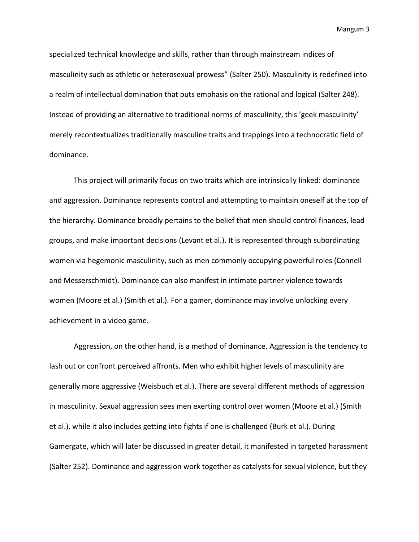specialized technical knowledge and skills, rather than through mainstream indices of masculinity such as athletic or heterosexual prowess" (Salter 250). Masculinity is redefined into a realm of intellectual domination that puts emphasis on the rational and logical (Salter 248). Instead of providing an alternative to traditional norms of masculinity, this 'geek masculinity' merely recontextualizes traditionally masculine traits and trappings into a technocratic field of dominance.

This project will primarily focus on two traits which are intrinsically linked: dominance and aggression. Dominance represents control and attempting to maintain oneself at the top of the hierarchy. Dominance broadly pertains to the belief that men should control finances, lead groups, and make important decisions (Levant et al.). It is represented through subordinating women via hegemonic masculinity, such as men commonly occupying powerful roles (Connell and Messerschmidt). Dominance can also manifest in intimate partner violence towards women (Moore et al.) (Smith et al.). For a gamer, dominance may involve unlocking every achievement in a video game.

Aggression, on the other hand, is a method of dominance. Aggression is the tendency to lash out or confront perceived affronts. Men who exhibit higher levels of masculinity are generally more aggressive (Weisbuch et al.). There are several different methods of aggression in masculinity. Sexual aggression sees men exerting control over women (Moore et al.) (Smith et al.), while it also includes getting into fights if one is challenged (Burk et al.). During Gamergate, which will later be discussed in greater detail, it manifested in targeted harassment (Salter 252). Dominance and aggression work together as catalysts for sexual violence, but they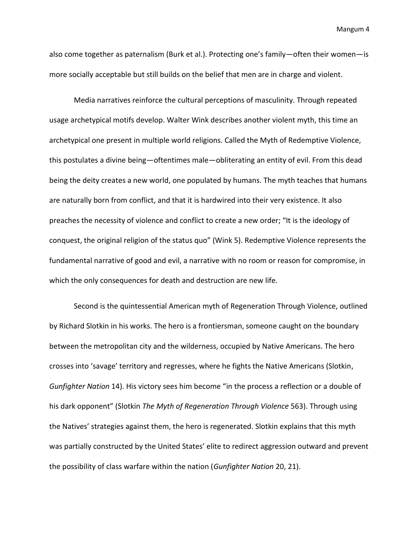also come together as paternalism (Burk et al.). Protecting one's family—often their women—is more socially acceptable but still builds on the belief that men are in charge and violent.

Media narratives reinforce the cultural perceptions of masculinity. Through repeated usage archetypical motifs develop. Walter Wink describes another violent myth, this time an archetypical one present in multiple world religions. Called the Myth of Redemptive Violence, this postulates a divine being—oftentimes male—obliterating an entity of evil. From this dead being the deity creates a new world, one populated by humans. The myth teaches that humans are naturally born from conflict, and that it is hardwired into their very existence. It also preaches the necessity of violence and conflict to create a new order; "It is the ideology of conquest, the original religion of the status quo" (Wink 5). Redemptive Violence represents the fundamental narrative of good and evil, a narrative with no room or reason for compromise, in which the only consequences for death and destruction are new life.

Second is the quintessential American myth of Regeneration Through Violence, outlined by Richard Slotkin in his works. The hero is a frontiersman, someone caught on the boundary between the metropolitan city and the wilderness, occupied by Native Americans. The hero crosses into 'savage' territory and regresses, where he fights the Native Americans (Slotkin, *Gunfighter Nation* 14). His victory sees him become "in the process a reflection or a double of his dark opponent" (Slotkin *The Myth of Regeneration Through Violence* 563). Through using the Natives' strategies against them, the hero is regenerated. Slotkin explains that this myth was partially constructed by the United States' elite to redirect aggression outward and prevent the possibility of class warfare within the nation (*Gunfighter Nation* 20, 21).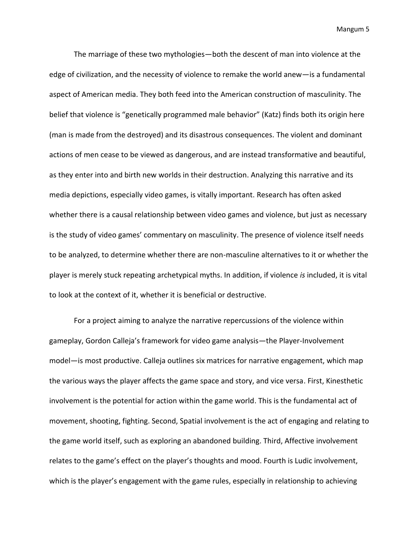The marriage of these two mythologies—both the descent of man into violence at the edge of civilization, and the necessity of violence to remake the world anew—is a fundamental aspect of American media. They both feed into the American construction of masculinity. The belief that violence is "genetically programmed male behavior" (Katz) finds both its origin here (man is made from the destroyed) and its disastrous consequences. The violent and dominant actions of men cease to be viewed as dangerous, and are instead transformative and beautiful, as they enter into and birth new worlds in their destruction. Analyzing this narrative and its media depictions, especially video games, is vitally important. Research has often asked whether there is a causal relationship between video games and violence, but just as necessary is the study of video games' commentary on masculinity. The presence of violence itself needs to be analyzed, to determine whether there are non-masculine alternatives to it or whether the player is merely stuck repeating archetypical myths. In addition, if violence *is* included, it is vital to look at the context of it, whether it is beneficial or destructive.

For a project aiming to analyze the narrative repercussions of the violence within gameplay, Gordon Calleja's framework for video game analysis—the Player-Involvement model—is most productive. Calleja outlines six matrices for narrative engagement, which map the various ways the player affects the game space and story, and vice versa. First, Kinesthetic involvement is the potential for action within the game world. This is the fundamental act of movement, shooting, fighting. Second, Spatial involvement is the act of engaging and relating to the game world itself, such as exploring an abandoned building. Third, Affective involvement relates to the game's effect on the player's thoughts and mood. Fourth is Ludic involvement, which is the player's engagement with the game rules, especially in relationship to achieving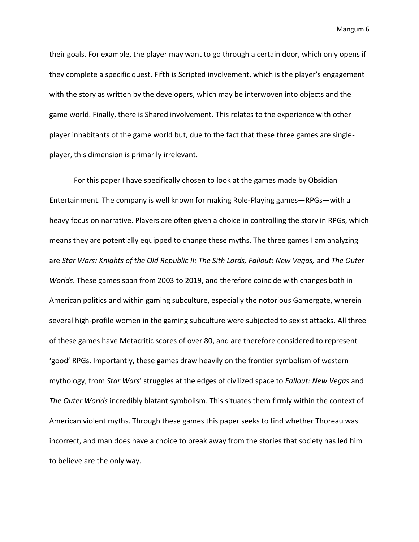their goals. For example, the player may want to go through a certain door, which only opens if they complete a specific quest. Fifth is Scripted involvement, which is the player's engagement with the story as written by the developers, which may be interwoven into objects and the game world. Finally, there is Shared involvement. This relates to the experience with other player inhabitants of the game world but, due to the fact that these three games are singleplayer, this dimension is primarily irrelevant.

For this paper I have specifically chosen to look at the games made by Obsidian Entertainment. The company is well known for making Role-Playing games—RPGs—with a heavy focus on narrative. Players are often given a choice in controlling the story in RPGs, which means they are potentially equipped to change these myths. The three games I am analyzing are *Star Wars: Knights of the Old Republic II: The Sith Lords, Fallout: New Vegas,* and *The Outer Worlds*. These games span from 2003 to 2019, and therefore coincide with changes both in American politics and within gaming subculture, especially the notorious Gamergate, wherein several high-profile women in the gaming subculture were subjected to sexist attacks. All three of these games have Metacritic scores of over 80, and are therefore considered to represent 'good' RPGs. Importantly, these games draw heavily on the frontier symbolism of western mythology, from *Star Wars*' struggles at the edges of civilized space to *Fallout: New Vegas* and *The Outer Worlds* incredibly blatant symbolism. This situates them firmly within the context of American violent myths. Through these games this paper seeks to find whether Thoreau was incorrect, and man does have a choice to break away from the stories that society has led him to believe are the only way.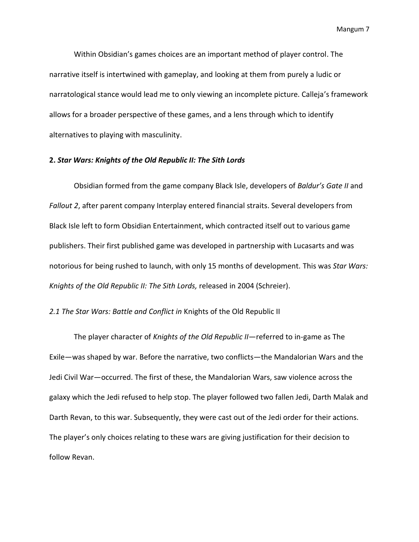Within Obsidian's games choices are an important method of player control. The narrative itself is intertwined with gameplay, and looking at them from purely a ludic or narratological stance would lead me to only viewing an incomplete picture. Calleja's framework allows for a broader perspective of these games, and a lens through which to identify alternatives to playing with masculinity.

# **2.** *Star Wars: Knights of the Old Republic II: The Sith Lords*

Obsidian formed from the game company Black Isle, developers of *Baldur's Gate II* and *Fallout 2*, after parent company Interplay entered financial straits. Several developers from Black Isle left to form Obsidian Entertainment, which contracted itself out to various game publishers. Their first published game was developed in partnership with Lucasarts and was notorious for being rushed to launch, with only 15 months of development. This was *Star Wars: Knights of the Old Republic II: The Sith Lords,* released in 2004 (Schreier).

## *2.1 The Star Wars: Battle and Conflict in* Knights of the Old Republic II

The player character of *Knights of the Old Republic II*—referred to in-game as The Exile—was shaped by war. Before the narrative, two conflicts—the Mandalorian Wars and the Jedi Civil War—occurred. The first of these, the Mandalorian Wars, saw violence across the galaxy which the Jedi refused to help stop. The player followed two fallen Jedi, Darth Malak and Darth Revan, to this war. Subsequently, they were cast out of the Jedi order for their actions. The player's only choices relating to these wars are giving justification for their decision to follow Revan.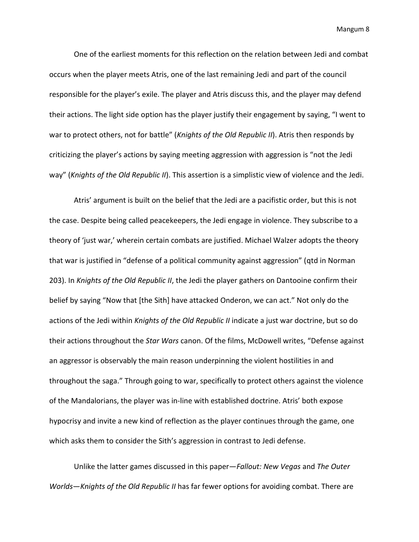One of the earliest moments for this reflection on the relation between Jedi and combat occurs when the player meets Atris, one of the last remaining Jedi and part of the council responsible for the player's exile. The player and Atris discuss this, and the player may defend their actions. The light side option has the player justify their engagement by saying, "I went to war to protect others, not for battle" (*Knights of the Old Republic II*). Atris then responds by criticizing the player's actions by saying meeting aggression with aggression is "not the Jedi way" (*Knights of the Old Republic II*). This assertion is a simplistic view of violence and the Jedi.

Atris' argument is built on the belief that the Jedi are a pacifistic order, but this is not the case. Despite being called peacekeepers, the Jedi engage in violence. They subscribe to a theory of 'just war,' wherein certain combats are justified. Michael Walzer adopts the theory that war is justified in "defense of a political community against aggression" (qtd in Norman 203). In *Knights of the Old Republic II*, the Jedi the player gathers on Dantooine confirm their belief by saying "Now that [the Sith] have attacked Onderon, we can act." Not only do the actions of the Jedi within *Knights of the Old Republic II* indicate a just war doctrine, but so do their actions throughout the *Star Wars* canon. Of the films, McDowell writes, "Defense against an aggressor is observably the main reason underpinning the violent hostilities in and throughout the saga." Through going to war, specifically to protect others against the violence of the Mandalorians, the player was in-line with established doctrine. Atris' both expose hypocrisy and invite a new kind of reflection as the player continues through the game, one which asks them to consider the Sith's aggression in contrast to Jedi defense.

Unlike the latter games discussed in this paper—*Fallout: New Vegas* and *The Outer Worlds*—*Knights of the Old Republic II* has far fewer options for avoiding combat. There are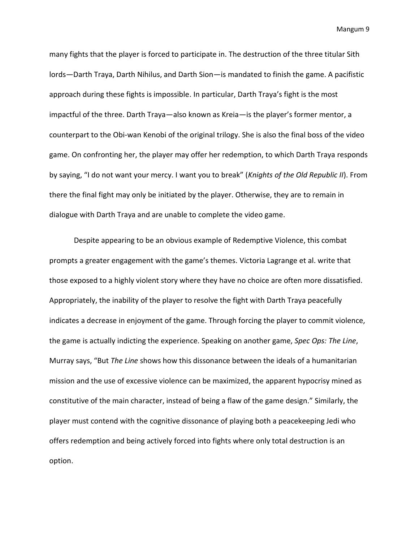many fights that the player is forced to participate in. The destruction of the three titular Sith lords—Darth Traya, Darth Nihilus, and Darth Sion—is mandated to finish the game. A pacifistic approach during these fights is impossible. In particular, Darth Traya's fight is the most impactful of the three. Darth Traya—also known as Kreia—is the player's former mentor, a counterpart to the Obi-wan Kenobi of the original trilogy. She is also the final boss of the video game. On confronting her, the player may offer her redemption, to which Darth Traya responds by saying, "I do not want your mercy. I want you to break" (*Knights of the Old Republic II*). From there the final fight may only be initiated by the player. Otherwise, they are to remain in dialogue with Darth Traya and are unable to complete the video game.

Despite appearing to be an obvious example of Redemptive Violence, this combat prompts a greater engagement with the game's themes. Victoria Lagrange et al. write that those exposed to a highly violent story where they have no choice are often more dissatisfied. Appropriately, the inability of the player to resolve the fight with Darth Traya peacefully indicates a decrease in enjoyment of the game. Through forcing the player to commit violence, the game is actually indicting the experience. Speaking on another game, *Spec Ops: The Line*, Murray says, "But *The Line* shows how this dissonance between the ideals of a humanitarian mission and the use of excessive violence can be maximized, the apparent hypocrisy mined as constitutive of the main character, instead of being a flaw of the game design." Similarly, the player must contend with the cognitive dissonance of playing both a peacekeeping Jedi who offers redemption and being actively forced into fights where only total destruction is an option.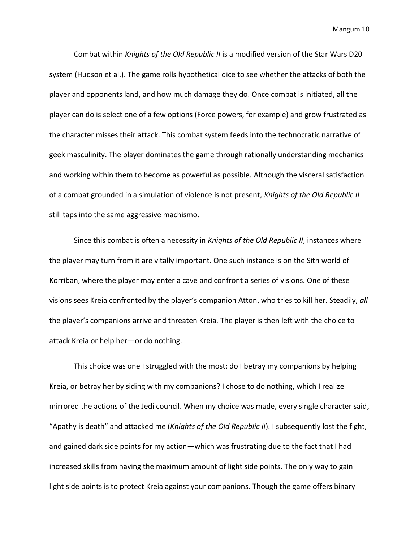Combat within *Knights of the Old Republic II* is a modified version of the Star Wars D20 system (Hudson et al.). The game rolls hypothetical dice to see whether the attacks of both the player and opponents land, and how much damage they do. Once combat is initiated, all the player can do is select one of a few options (Force powers, for example) and grow frustrated as the character misses their attack. This combat system feeds into the technocratic narrative of geek masculinity. The player dominates the game through rationally understanding mechanics and working within them to become as powerful as possible. Although the visceral satisfaction of a combat grounded in a simulation of violence is not present, *Knights of the Old Republic II*  still taps into the same aggressive machismo.

Since this combat is often a necessity in *Knights of the Old Republic II*, instances where the player may turn from it are vitally important. One such instance is on the Sith world of Korriban, where the player may enter a cave and confront a series of visions. One of these visions sees Kreia confronted by the player's companion Atton, who tries to kill her. Steadily, *all*  the player's companions arrive and threaten Kreia. The player is then left with the choice to attack Kreia or help her—or do nothing.

This choice was one I struggled with the most: do I betray my companions by helping Kreia, or betray her by siding with my companions? I chose to do nothing, which I realize mirrored the actions of the Jedi council. When my choice was made, every single character said, "Apathy is death" and attacked me (*Knights of the Old Republic II*). I subsequently lost the fight, and gained dark side points for my action—which was frustrating due to the fact that I had increased skills from having the maximum amount of light side points. The only way to gain light side points is to protect Kreia against your companions. Though the game offers binary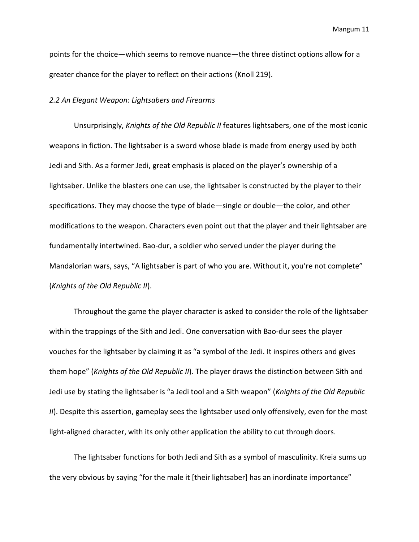points for the choice—which seems to remove nuance—the three distinct options allow for a greater chance for the player to reflect on their actions (Knoll 219).

## *2.2 An Elegant Weapon: Lightsabers and Firearms*

Unsurprisingly, *Knights of the Old Republic II* features lightsabers, one of the most iconic weapons in fiction. The lightsaber is a sword whose blade is made from energy used by both Jedi and Sith. As a former Jedi, great emphasis is placed on the player's ownership of a lightsaber. Unlike the blasters one can use, the lightsaber is constructed by the player to their specifications. They may choose the type of blade—single or double—the color, and other modifications to the weapon. Characters even point out that the player and their lightsaber are fundamentally intertwined. Bao-dur, a soldier who served under the player during the Mandalorian wars, says, "A lightsaber is part of who you are. Without it, you're not complete" (*Knights of the Old Republic II*).

Throughout the game the player character is asked to consider the role of the lightsaber within the trappings of the Sith and Jedi. One conversation with Bao-dur sees the player vouches for the lightsaber by claiming it as "a symbol of the Jedi. It inspires others and gives them hope" (*Knights of the Old Republic II*). The player draws the distinction between Sith and Jedi use by stating the lightsaber is "a Jedi tool and a Sith weapon" (*Knights of the Old Republic II*). Despite this assertion, gameplay sees the lightsaber used only offensively, even for the most light-aligned character, with its only other application the ability to cut through doors.

The lightsaber functions for both Jedi and Sith as a symbol of masculinity. Kreia sums up the very obvious by saying "for the male it [their lightsaber] has an inordinate importance"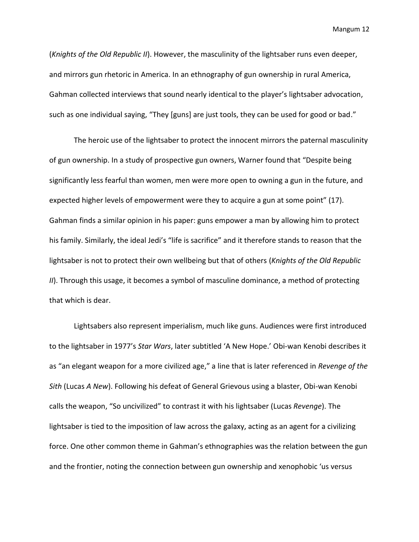(*Knights of the Old Republic II*). However, the masculinity of the lightsaber runs even deeper, and mirrors gun rhetoric in America. In an ethnography of gun ownership in rural America, Gahman collected interviews that sound nearly identical to the player's lightsaber advocation, such as one individual saying, "They [guns] are just tools, they can be used for good or bad."

The heroic use of the lightsaber to protect the innocent mirrors the paternal masculinity of gun ownership. In a study of prospective gun owners, Warner found that "Despite being significantly less fearful than women, men were more open to owning a gun in the future, and expected higher levels of empowerment were they to acquire a gun at some point" (17). Gahman finds a similar opinion in his paper: guns empower a man by allowing him to protect his family. Similarly, the ideal Jedi's "life is sacrifice" and it therefore stands to reason that the lightsaber is not to protect their own wellbeing but that of others (*Knights of the Old Republic II*). Through this usage, it becomes a symbol of masculine dominance, a method of protecting that which is dear.

Lightsabers also represent imperialism, much like guns. Audiences were first introduced to the lightsaber in 1977's *Star Wars*, later subtitled 'A New Hope.' Obi-wan Kenobi describes it as "an elegant weapon for a more civilized age," a line that is later referenced in *Revenge of the Sith* (Lucas *A New*). Following his defeat of General Grievous using a blaster, Obi-wan Kenobi calls the weapon, "So uncivilized" to contrast it with his lightsaber (Lucas *Revenge*). The lightsaber is tied to the imposition of law across the galaxy, acting as an agent for a civilizing force. One other common theme in Gahman's ethnographies was the relation between the gun and the frontier, noting the connection between gun ownership and xenophobic 'us versus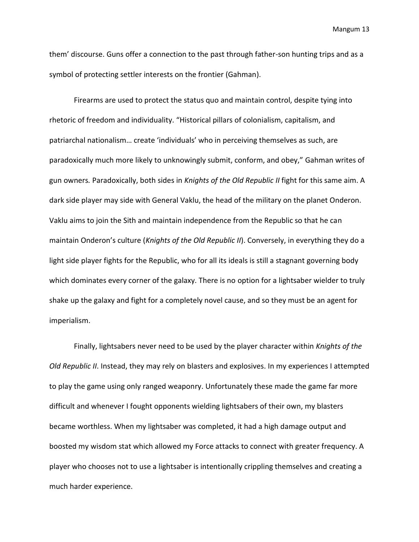them' discourse. Guns offer a connection to the past through father-son hunting trips and as a symbol of protecting settler interests on the frontier (Gahman).

Firearms are used to protect the status quo and maintain control, despite tying into rhetoric of freedom and individuality. "Historical pillars of colonialism, capitalism, and patriarchal nationalism… create 'individuals' who in perceiving themselves as such, are paradoxically much more likely to unknowingly submit, conform, and obey," Gahman writes of gun owners*.* Paradoxically, both sides in *Knights of the Old Republic II* fight for this same aim. A dark side player may side with General Vaklu, the head of the military on the planet Onderon. Vaklu aims to join the Sith and maintain independence from the Republic so that he can maintain Onderon's culture (*Knights of the Old Republic II*). Conversely, in everything they do a light side player fights for the Republic, who for all its ideals is still a stagnant governing body which dominates every corner of the galaxy. There is no option for a lightsaber wielder to truly shake up the galaxy and fight for a completely novel cause, and so they must be an agent for imperialism.

Finally, lightsabers never need to be used by the player character within *Knights of the Old Republic II*. Instead, they may rely on blasters and explosives. In my experiences I attempted to play the game using only ranged weaponry. Unfortunately these made the game far more difficult and whenever I fought opponents wielding lightsabers of their own, my blasters became worthless. When my lightsaber was completed, it had a high damage output and boosted my wisdom stat which allowed my Force attacks to connect with greater frequency. A player who chooses not to use a lightsaber is intentionally crippling themselves and creating a much harder experience.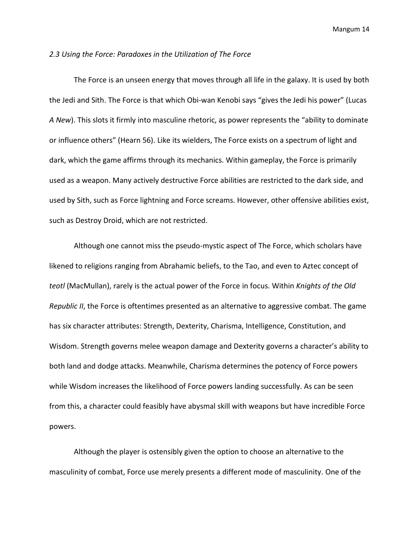#### *2.3 Using the Force: Paradoxes in the Utilization of The Force*

The Force is an unseen energy that moves through all life in the galaxy. It is used by both the Jedi and Sith. The Force is that which Obi-wan Kenobi says "gives the Jedi his power" (Lucas *A New*). This slots it firmly into masculine rhetoric, as power represents the "ability to dominate or influence others" (Hearn 56). Like its wielders, The Force exists on a spectrum of light and dark, which the game affirms through its mechanics. Within gameplay, the Force is primarily used as a weapon. Many actively destructive Force abilities are restricted to the dark side, and used by Sith, such as Force lightning and Force screams. However, other offensive abilities exist, such as Destroy Droid, which are not restricted.

Although one cannot miss the pseudo-mystic aspect of The Force, which scholars have likened to religions ranging from Abrahamic beliefs, to the Tao, and even to Aztec concept of *teotl* (MacMullan), rarely is the actual power of the Force in focus. Within *Knights of the Old Republic II*, the Force is oftentimes presented as an alternative to aggressive combat. The game has six character attributes: Strength, Dexterity, Charisma, Intelligence, Constitution, and Wisdom. Strength governs melee weapon damage and Dexterity governs a character's ability to both land and dodge attacks. Meanwhile, Charisma determines the potency of Force powers while Wisdom increases the likelihood of Force powers landing successfully. As can be seen from this, a character could feasibly have abysmal skill with weapons but have incredible Force powers.

Although the player is ostensibly given the option to choose an alternative to the masculinity of combat, Force use merely presents a different mode of masculinity. One of the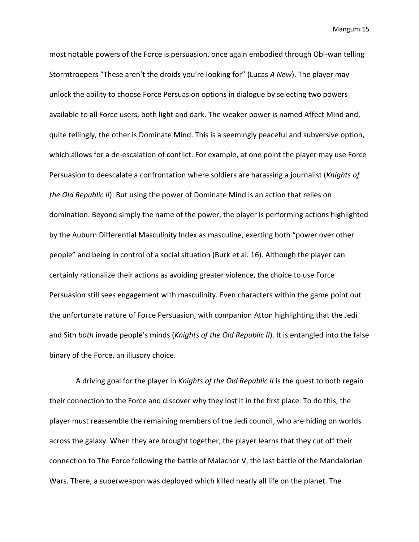most notable powers of the Force is persuasion, once again embodied through Obi-wan telling Stormtroopers "These aren't the droids you're looking for" (Lucas *A New*). The player may unlock the ability to choose Force Persuasion options in dialogue by selecting two powers available to all Force users, both light and dark. The weaker power is named Affect Mind and, quite tellingly, the other is Dominate Mind. This is a seemingly peaceful and subversive option, which allows for a de-escalation of conflict. For example, at one point the player may use Force Persuasion to deescalate a confrontation where soldiers are harassing a journalist (*Knights of the Old Republic II*). But using the power of Dominate Mind is an action that relies on domination. Beyond simply the name of the power, the player is performing actions highlighted by the Auburn Differential Masculinity Index as masculine, exerting both "power over other people" and being in control of a social situation (Burk et al. 16). Although the player can certainly rationalize their actions as avoiding greater violence, the choice to use Force Persuasion still sees engagement with masculinity. Even characters within the game point out the unfortunate nature of Force Persuasion, with companion Atton highlighting that the Jedi and Sith *both* invade people's minds (*Knights of the Old Republic II*). It is entangled into the false binary of the Force, an illusory choice.

A driving goal for the player in *Knights of the Old Republic II* is the quest to both regain their connection to the Force and discover why they lost it in the first place. To do this, the player must reassemble the remaining members of the Jedi council, who are hiding on worlds across the galaxy. When they are brought together, the player learns that they cut off their connection to The Force following the battle of Malachor V, the last battle of the Mandalorian Wars. There, a superweapon was deployed which killed nearly all life on the planet. The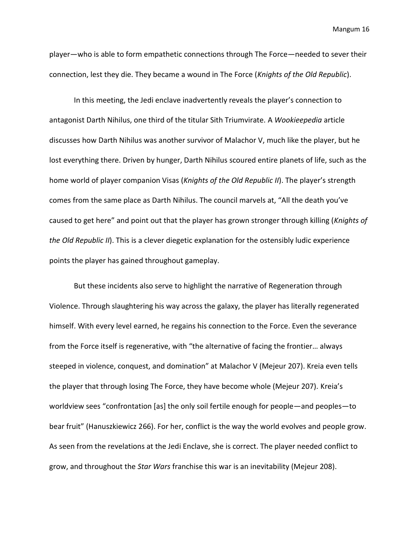player—who is able to form empathetic connections through The Force—needed to sever their connection, lest they die. They became a wound in The Force (*Knights of the Old Republic*).

In this meeting, the Jedi enclave inadvertently reveals the player's connection to antagonist Darth Nihilus, one third of the titular Sith Triumvirate. A *Wookieepedia* article discusses how Darth Nihilus was another survivor of Malachor V, much like the player, but he lost everything there. Driven by hunger, Darth Nihilus scoured entire planets of life, such as the home world of player companion Visas (*Knights of the Old Republic II*). The player's strength comes from the same place as Darth Nihilus. The council marvels at, "All the death you've caused to get here" and point out that the player has grown stronger through killing (*Knights of the Old Republic II*). This is a clever diegetic explanation for the ostensibly ludic experience points the player has gained throughout gameplay.

But these incidents also serve to highlight the narrative of Regeneration through Violence. Through slaughtering his way across the galaxy, the player has literally regenerated himself. With every level earned, he regains his connection to the Force. Even the severance from the Force itself is regenerative, with "the alternative of facing the frontier… always steeped in violence, conquest, and domination" at Malachor V (Mejeur 207). Kreia even tells the player that through losing The Force, they have become whole (Mejeur 207). Kreia's worldview sees "confrontation [as] the only soil fertile enough for people—and peoples—to bear fruit" (Hanuszkiewicz 266). For her, conflict is the way the world evolves and people grow. As seen from the revelations at the Jedi Enclave, she is correct. The player needed conflict to grow, and throughout the *Star Wars* franchise this war is an inevitability (Mejeur 208).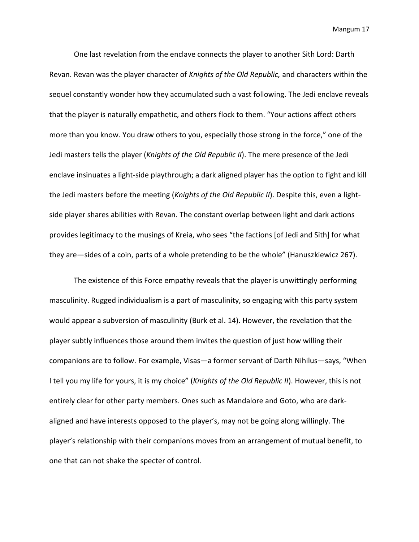One last revelation from the enclave connects the player to another Sith Lord: Darth Revan. Revan was the player character of *Knights of the Old Republic,* and characters within the sequel constantly wonder how they accumulated such a vast following. The Jedi enclave reveals that the player is naturally empathetic, and others flock to them. "Your actions affect others more than you know. You draw others to you, especially those strong in the force," one of the Jedi masters tells the player (*Knights of the Old Republic II*). The mere presence of the Jedi enclave insinuates a light-side playthrough; a dark aligned player has the option to fight and kill the Jedi masters before the meeting (*Knights of the Old Republic II*). Despite this, even a lightside player shares abilities with Revan. The constant overlap between light and dark actions provides legitimacy to the musings of Kreia, who sees "the factions [of Jedi and Sith] for what they are—sides of a coin, parts of a whole pretending to be the whole" (Hanuszkiewicz 267).

The existence of this Force empathy reveals that the player is unwittingly performing masculinity. Rugged individualism is a part of masculinity, so engaging with this party system would appear a subversion of masculinity (Burk et al. 14). However, the revelation that the player subtly influences those around them invites the question of just how willing their companions are to follow. For example, Visas—a former servant of Darth Nihilus—says, "When I tell you my life for yours, it is my choice" (*Knights of the Old Republic II*). However, this is not entirely clear for other party members. Ones such as Mandalore and Goto, who are darkaligned and have interests opposed to the player's, may not be going along willingly. The player's relationship with their companions moves from an arrangement of mutual benefit, to one that can not shake the specter of control.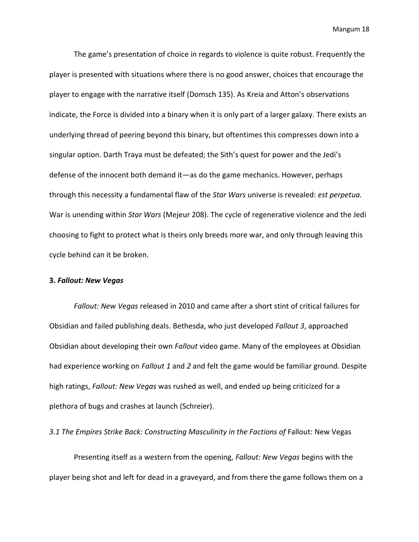The game's presentation of choice in regards to violence is quite robust. Frequently the player is presented with situations where there is no good answer, choices that encourage the player to engage with the narrative itself (Domsch 135). As Kreia and Atton's observations indicate, the Force is divided into a binary when it is only part of a larger galaxy. There exists an underlying thread of peering beyond this binary, but oftentimes this compresses down into a singular option. Darth Traya must be defeated; the Sith's quest for power and the Jedi's defense of the innocent both demand it—as do the game mechanics. However, perhaps through this necessity a fundamental flaw of the *Star Wars* universe is revealed: *est perpetua.*  War is unending within *Star Wars* (Mejeur 208). The cycle of regenerative violence and the Jedi choosing to fight to protect what is theirs only breeds more war, and only through leaving this cycle behind can it be broken.

#### **3.** *Fallout: New Vegas*

*Fallout: New Vegas* released in 2010 and came after a short stint of critical failures for Obsidian and failed publishing deals. Bethesda, who just developed *Fallout 3*, approached Obsidian about developing their own *Fallout* video game. Many of the employees at Obsidian had experience working on *Fallout 1* and *2* and felt the game would be familiar ground. Despite high ratings, *Fallout: New Vegas* was rushed as well, and ended up being criticized for a plethora of bugs and crashes at launch (Schreier).

3.1 The Empires Strike Back: Constructing Masculinity in the Factions of Fallout: New Vegas

Presenting itself as a western from the opening, *Fallout: New Vegas* begins with the player being shot and left for dead in a graveyard, and from there the game follows them on a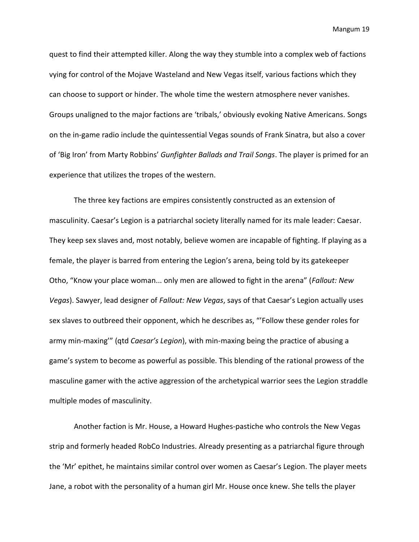quest to find their attempted killer. Along the way they stumble into a complex web of factions vying for control of the Mojave Wasteland and New Vegas itself, various factions which they can choose to support or hinder. The whole time the western atmosphere never vanishes. Groups unaligned to the major factions are 'tribals,' obviously evoking Native Americans. Songs on the in-game radio include the quintessential Vegas sounds of Frank Sinatra, but also a cover of 'Big Iron' from Marty Robbins' *Gunfighter Ballads and Trail Songs*. The player is primed for an experience that utilizes the tropes of the western.

The three key factions are empires consistently constructed as an extension of masculinity. Caesar's Legion is a patriarchal society literally named for its male leader: Caesar. They keep sex slaves and, most notably, believe women are incapable of fighting. If playing as a female, the player is barred from entering the Legion's arena, being told by its gatekeeper Otho, "Know your place woman... only men are allowed to fight in the arena" (*Fallout: New Vegas*). Sawyer, lead designer of *Fallout: New Vegas*, says of that Caesar's Legion actually uses sex slaves to outbreed their opponent, which he describes as, "'Follow these gender roles for army min-maxing'" (qtd *Caesar's Legion*), with min-maxing being the practice of abusing a game's system to become as powerful as possible. This blending of the rational prowess of the masculine gamer with the active aggression of the archetypical warrior sees the Legion straddle multiple modes of masculinity.

Another faction is Mr. House, a Howard Hughes-pastiche who controls the New Vegas strip and formerly headed RobCo Industries. Already presenting as a patriarchal figure through the 'Mr' epithet, he maintains similar control over women as Caesar's Legion. The player meets Jane, a robot with the personality of a human girl Mr. House once knew. She tells the player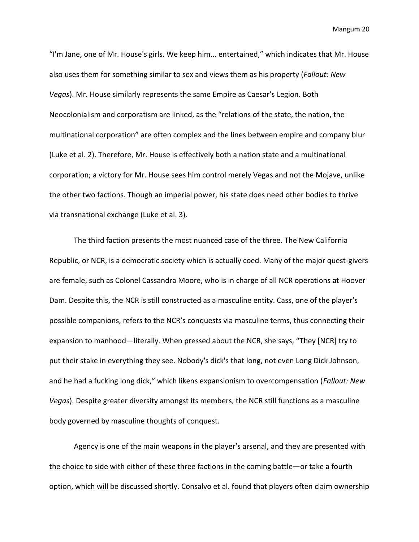"I'm Jane, one of Mr. House's girls. We keep him... entertained," which indicates that Mr. House also uses them for something similar to sex and views them as his property (*Fallout: New Vegas*). Mr. House similarly represents the same Empire as Caesar's Legion. Both Neocolonialism and corporatism are linked, as the "relations of the state, the nation, the multinational corporation" are often complex and the lines between empire and company blur (Luke et al. 2). Therefore, Mr. House is effectively both a nation state and a multinational corporation; a victory for Mr. House sees him control merely Vegas and not the Mojave, unlike the other two factions. Though an imperial power, his state does need other bodies to thrive via transnational exchange (Luke et al. 3).

The third faction presents the most nuanced case of the three. The New California Republic, or NCR, is a democratic society which is actually coed. Many of the major quest-givers are female, such as Colonel Cassandra Moore, who is in charge of all NCR operations at Hoover Dam. Despite this, the NCR is still constructed as a masculine entity. Cass, one of the player's possible companions, refers to the NCR's conquests via masculine terms, thus connecting their expansion to manhood—literally. When pressed about the NCR, she says, "They [NCR] try to put their stake in everything they see. Nobody's dick's that long, not even Long Dick Johnson, and he had a fucking long dick," which likens expansionism to overcompensation (*Fallout: New Vegas*). Despite greater diversity amongst its members, the NCR still functions as a masculine body governed by masculine thoughts of conquest.

Agency is one of the main weapons in the player's arsenal, and they are presented with the choice to side with either of these three factions in the coming battle—or take a fourth option, which will be discussed shortly. Consalvo et al. found that players often claim ownership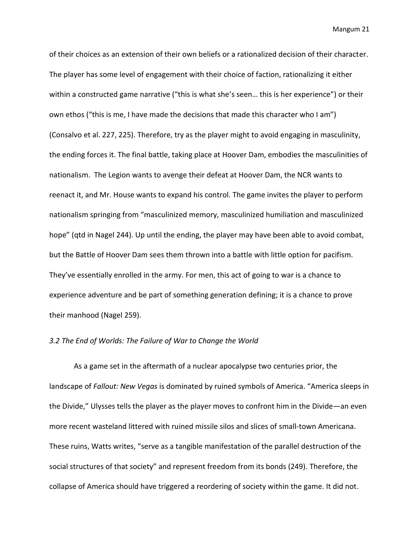of their choices as an extension of their own beliefs or a rationalized decision of their character. The player has some level of engagement with their choice of faction, rationalizing it either within a constructed game narrative ("this is what she's seen… this is her experience") or their own ethos ("this is me, I have made the decisions that made this character who I am") (Consalvo et al. 227, 225). Therefore, try as the player might to avoid engaging in masculinity, the ending forces it. The final battle, taking place at Hoover Dam, embodies the masculinities of nationalism. The Legion wants to avenge their defeat at Hoover Dam, the NCR wants to reenact it, and Mr. House wants to expand his control. The game invites the player to perform nationalism springing from "masculinized memory, masculinized humiliation and masculinized hope" (qtd in Nagel 244). Up until the ending, the player may have been able to avoid combat, but the Battle of Hoover Dam sees them thrown into a battle with little option for pacifism. They've essentially enrolled in the army. For men, this act of going to war is a chance to experience adventure and be part of something generation defining; it is a chance to prove their manhood (Nagel 259).

# *3.2 The End of Worlds: The Failure of War to Change the World*

As a game set in the aftermath of a nuclear apocalypse two centuries prior, the landscape of *Fallout: New Vegas* is dominated by ruined symbols of America. "America sleeps in the Divide," Ulysses tells the player as the player moves to confront him in the Divide—an even more recent wasteland littered with ruined missile silos and slices of small-town Americana. These ruins, Watts writes, "serve as a tangible manifestation of the parallel destruction of the social structures of that society" and represent freedom from its bonds (249). Therefore, the collapse of America should have triggered a reordering of society within the game. It did not.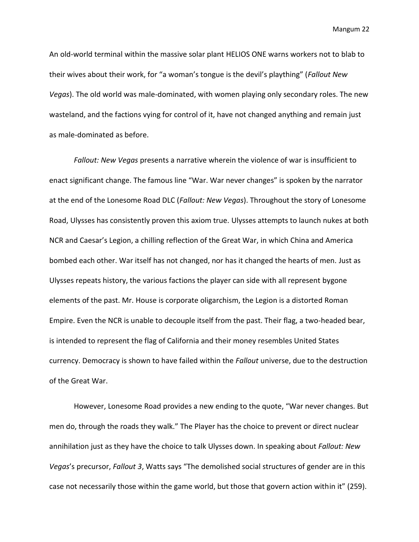An old-world terminal within the massive solar plant HELIOS ONE warns workers not to blab to their wives about their work, for "a woman's tongue is the devil's plaything" (*Fallout New Vegas*). The old world was male-dominated, with women playing only secondary roles. The new wasteland, and the factions vying for control of it, have not changed anything and remain just as male-dominated as before.

*Fallout: New Vegas* presents a narrative wherein the violence of war is insufficient to enact significant change. The famous line "War. War never changes" is spoken by the narrator at the end of the Lonesome Road DLC (*Fallout: New Vegas*). Throughout the story of Lonesome Road, Ulysses has consistently proven this axiom true. Ulysses attempts to launch nukes at both NCR and Caesar's Legion, a chilling reflection of the Great War, in which China and America bombed each other. War itself has not changed, nor has it changed the hearts of men. Just as Ulysses repeats history, the various factions the player can side with all represent bygone elements of the past. Mr. House is corporate oligarchism, the Legion is a distorted Roman Empire. Even the NCR is unable to decouple itself from the past. Their flag, a two-headed bear, is intended to represent the flag of California and their money resembles United States currency. Democracy is shown to have failed within the *Fallout* universe, due to the destruction of the Great War.

However, Lonesome Road provides a new ending to the quote, "War never changes. But men do, through the roads they walk." The Player has the choice to prevent or direct nuclear annihilation just as they have the choice to talk Ulysses down. In speaking about *Fallout: New Vegas*'s precursor, *Fallout 3*, Watts says "The demolished social structures of gender are in this case not necessarily those within the game world, but those that govern action within it" (259).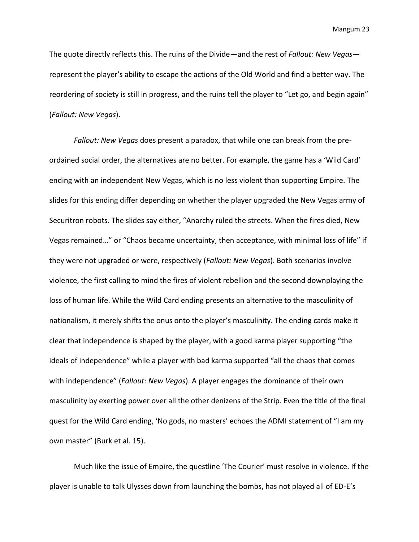The quote directly reflects this. The ruins of the Divide—and the rest of *Fallout: New Vegas* represent the player's ability to escape the actions of the Old World and find a better way. The reordering of society is still in progress, and the ruins tell the player to "Let go, and begin again" (*Fallout: New Vegas*).

*Fallout: New Vegas* does present a paradox, that while one can break from the preordained social order, the alternatives are no better. For example, the game has a 'Wild Card' ending with an independent New Vegas, which is no less violent than supporting Empire. The slides for this ending differ depending on whether the player upgraded the New Vegas army of Securitron robots. The slides say either, "Anarchy ruled the streets. When the fires died, New Vegas remained…" or "Chaos became uncertainty, then acceptance, with minimal loss of life" if they were not upgraded or were, respectively (*Fallout: New Vegas*). Both scenarios involve violence, the first calling to mind the fires of violent rebellion and the second downplaying the loss of human life. While the Wild Card ending presents an alternative to the masculinity of nationalism, it merely shifts the onus onto the player's masculinity. The ending cards make it clear that independence is shaped by the player, with a good karma player supporting "the ideals of independence" while a player with bad karma supported "all the chaos that comes with independence" (*Fallout: New Vegas*). A player engages the dominance of their own masculinity by exerting power over all the other denizens of the Strip. Even the title of the final quest for the Wild Card ending, 'No gods, no masters' echoes the ADMI statement of "I am my own master" (Burk et al. 15).

Much like the issue of Empire, the questline 'The Courier' must resolve in violence. If the player is unable to talk Ulysses down from launching the bombs, has not played all of ED-E's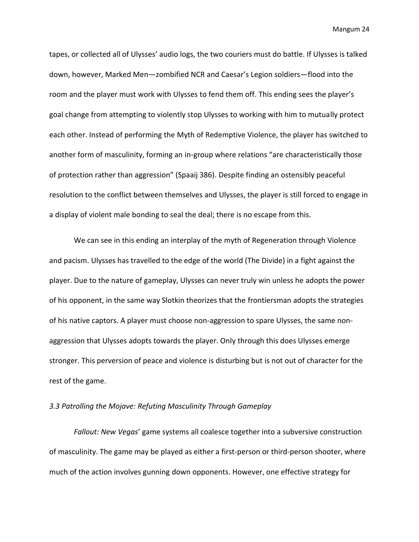tapes, or collected all of Ulysses' audio logs, the two couriers must do battle. If Ulysses is talked down, however, Marked Men—zombified NCR and Caesar's Legion soldiers—flood into the room and the player must work with Ulysses to fend them off. This ending sees the player's goal change from attempting to violently stop Ulysses to working with him to mutually protect each other. Instead of performing the Myth of Redemptive Violence, the player has switched to another form of masculinity, forming an in-group where relations "are characteristically those of protection rather than aggression" (Spaaij 386). Despite finding an ostensibly peaceful resolution to the conflict between themselves and Ulysses, the player is still forced to engage in a display of violent male bonding to seal the deal; there is no escape from this.

We can see in this ending an interplay of the myth of Regeneration through Violence and pacism. Ulysses has travelled to the edge of the world (The Divide) in a fight against the player. Due to the nature of gameplay, Ulysses can never truly win unless he adopts the power of his opponent, in the same way Slotkin theorizes that the frontiersman adopts the strategies of his native captors. A player must choose non-aggression to spare Ulysses, the same nonaggression that Ulysses adopts towards the player. Only through this does Ulysses emerge stronger. This perversion of peace and violence is disturbing but is not out of character for the rest of the game.

# *3.3 Patrolling the Mojave: Refuting Masculinity Through Gameplay*

*Fallout: New Vegas*' game systems all coalesce together into a subversive construction of masculinity. The game may be played as either a first-person or third-person shooter, where much of the action involves gunning down opponents. However, one effective strategy for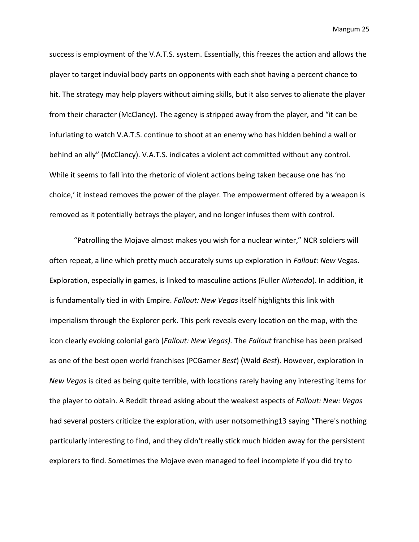success is employment of the V.A.T.S. system. Essentially, this freezes the action and allows the player to target induvial body parts on opponents with each shot having a percent chance to hit. The strategy may help players without aiming skills, but it also serves to alienate the player from their character (McClancy). The agency is stripped away from the player, and "it can be infuriating to watch V.A.T.S. continue to shoot at an enemy who has hidden behind a wall or behind an ally" (McClancy). V.A.T.S. indicates a violent act committed without any control. While it seems to fall into the rhetoric of violent actions being taken because one has 'no choice,' it instead removes the power of the player. The empowerment offered by a weapon is removed as it potentially betrays the player, and no longer infuses them with control.

"Patrolling the Mojave almost makes you wish for a nuclear winter," NCR soldiers will often repeat, a line which pretty much accurately sums up exploration in *Fallout: New* Vegas. Exploration, especially in games, is linked to masculine actions (Fuller *Nintendo*). In addition, it is fundamentally tied in with Empire. *Fallout: New Vegas* itself highlights this link with imperialism through the Explorer perk. This perk reveals every location on the map, with the icon clearly evoking colonial garb (*Fallout: New Vegas).* The *Fallout* franchise has been praised as one of the best open world franchises (PCGamer *Best*) (Wald *Best*). However, exploration in *New Vegas* is cited as being quite terrible, with locations rarely having any interesting items for the player to obtain. A Reddit thread asking about the weakest aspects of *Fallout: New: Vegas*  had several posters criticize the exploration, with user notsomething13 saying "There's nothing particularly interesting to find, and they didn't really stick much hidden away for the persistent explorers to find. Sometimes the Mojave even managed to feel incomplete if you did try to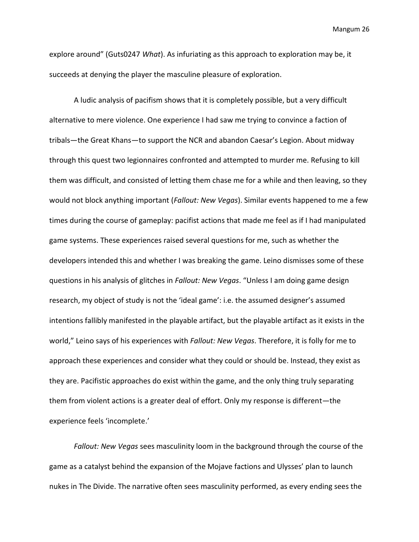explore around" (Guts0247 *What*). As infuriating as this approach to exploration may be, it succeeds at denying the player the masculine pleasure of exploration.

A ludic analysis of pacifism shows that it is completely possible, but a very difficult alternative to mere violence. One experience I had saw me trying to convince a faction of tribals—the Great Khans—to support the NCR and abandon Caesar's Legion. About midway through this quest two legionnaires confronted and attempted to murder me. Refusing to kill them was difficult, and consisted of letting them chase me for a while and then leaving, so they would not block anything important (*Fallout: New Vegas*). Similar events happened to me a few times during the course of gameplay: pacifist actions that made me feel as if I had manipulated game systems. These experiences raised several questions for me, such as whether the developers intended this and whether I was breaking the game. Leino dismisses some of these questions in his analysis of glitches in *Fallout: New Vegas*. "Unless I am doing game design research, my object of study is not the 'ideal game': i.e. the assumed designer's assumed intentions fallibly manifested in the playable artifact, but the playable artifact as it exists in the world," Leino says of his experiences with *Fallout: New Vegas*. Therefore, it is folly for me to approach these experiences and consider what they could or should be. Instead, they exist as they are. Pacifistic approaches do exist within the game, and the only thing truly separating them from violent actions is a greater deal of effort. Only my response is different—the experience feels 'incomplete.'

*Fallout: New Vegas* sees masculinity loom in the background through the course of the game as a catalyst behind the expansion of the Mojave factions and Ulysses' plan to launch nukes in The Divide. The narrative often sees masculinity performed, as every ending sees the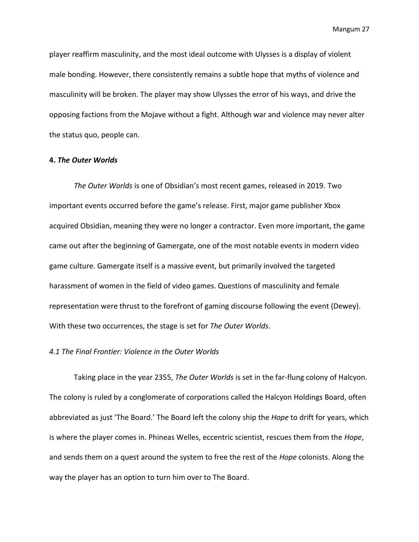player reaffirm masculinity, and the most ideal outcome with Ulysses is a display of violent male bonding. However, there consistently remains a subtle hope that myths of violence and masculinity will be broken. The player may show Ulysses the error of his ways, and drive the opposing factions from the Mojave without a fight. Although war and violence may never alter the status quo, people can.

# **4.** *The Outer Worlds*

*The Outer Worlds* is one of Obsidian's most recent games, released in 2019. Two important events occurred before the game's release. First, major game publisher Xbox acquired Obsidian, meaning they were no longer a contractor. Even more important, the game came out after the beginning of Gamergate, one of the most notable events in modern video game culture. Gamergate itself is a massive event, but primarily involved the targeted harassment of women in the field of video games. Questions of masculinity and female representation were thrust to the forefront of gaming discourse following the event (Dewey). With these two occurrences, the stage is set for *The Outer Worlds*.

## *4.1 The Final Frontier: Violence in the Outer Worlds*

Taking place in the year 2355, *The Outer Worlds* is set in the far-flung colony of Halcyon. The colony is ruled by a conglomerate of corporations called the Halcyon Holdings Board, often abbreviated as just 'The Board.' The Board left the colony ship the *Hope* to drift for years, which is where the player comes in. Phineas Welles, eccentric scientist, rescues them from the *Hope*, and sends them on a quest around the system to free the rest of the *Hope* colonists. Along the way the player has an option to turn him over to The Board.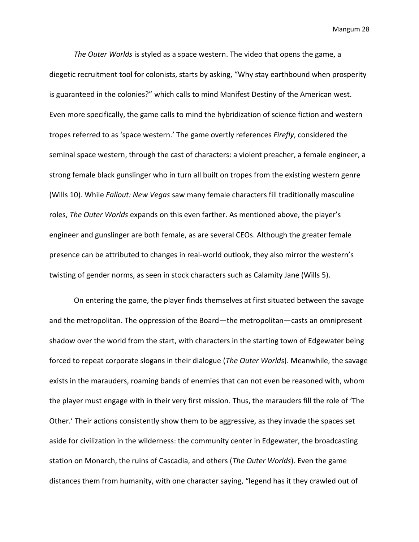*The Outer Worlds* is styled as a space western. The video that opens the game, a diegetic recruitment tool for colonists, starts by asking, "Why stay earthbound when prosperity is guaranteed in the colonies?" which calls to mind Manifest Destiny of the American west. Even more specifically, the game calls to mind the hybridization of science fiction and western tropes referred to as 'space western.' The game overtly references *Firefly*, considered the seminal space western, through the cast of characters: a violent preacher, a female engineer, a strong female black gunslinger who in turn all built on tropes from the existing western genre (Wills 10). While *Fallout: New Vegas* saw many female characters fill traditionally masculine roles, *The Outer Worlds* expands on this even farther. As mentioned above, the player's engineer and gunslinger are both female, as are several CEOs. Although the greater female presence can be attributed to changes in real-world outlook, they also mirror the western's twisting of gender norms, as seen in stock characters such as Calamity Jane (Wills 5).

On entering the game, the player finds themselves at first situated between the savage and the metropolitan. The oppression of the Board—the metropolitan—casts an omnipresent shadow over the world from the start, with characters in the starting town of Edgewater being forced to repeat corporate slogans in their dialogue (*The Outer Worlds*). Meanwhile, the savage exists in the marauders, roaming bands of enemies that can not even be reasoned with, whom the player must engage with in their very first mission. Thus, the marauders fill the role of 'The Other.' Their actions consistently show them to be aggressive, as they invade the spaces set aside for civilization in the wilderness: the community center in Edgewater, the broadcasting station on Monarch, the ruins of Cascadia, and others (*The Outer Worlds*). Even the game distances them from humanity, with one character saying, "legend has it they crawled out of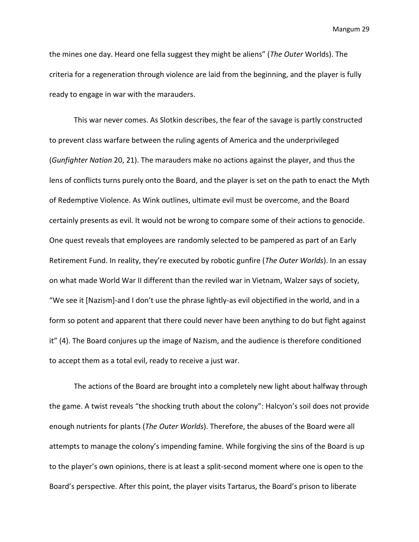the mines one day. Heard one fella suggest they might be aliens" (*The Outer* Worlds). The criteria for a regeneration through violence are laid from the beginning, and the player is fully ready to engage in war with the marauders.

This war never comes. As Slotkin describes, the fear of the savage is partly constructed to prevent class warfare between the ruling agents of America and the underprivileged (*Gunfighter Nation* 20, 21). The marauders make no actions against the player, and thus the lens of conflicts turns purely onto the Board, and the player is set on the path to enact the Myth of Redemptive Violence. As Wink outlines, ultimate evil must be overcome, and the Board certainly presents as evil. It would not be wrong to compare some of their actions to genocide. One quest reveals that employees are randomly selected to be pampered as part of an Early Retirement Fund. In reality, they're executed by robotic gunfire (*The Outer Worlds*). In an essay on what made World War II different than the reviled war in Vietnam, Walzer says of society, "We see it [Nazism]-and I don't use the phrase lightly-as evil objectified in the world, and in a form so potent and apparent that there could never have been anything to do but fight against it" (4). The Board conjures up the image of Nazism, and the audience is therefore conditioned to accept them as a total evil, ready to receive a just war.

The actions of the Board are brought into a completely new light about halfway through the game. A twist reveals "the shocking truth about the colony": Halcyon's soil does not provide enough nutrients for plants (*The Outer Worlds*). Therefore, the abuses of the Board were all attempts to manage the colony's impending famine. While forgiving the sins of the Board is up to the player's own opinions, there is at least a split-second moment where one is open to the Board's perspective. After this point, the player visits Tartarus, the Board's prison to liberate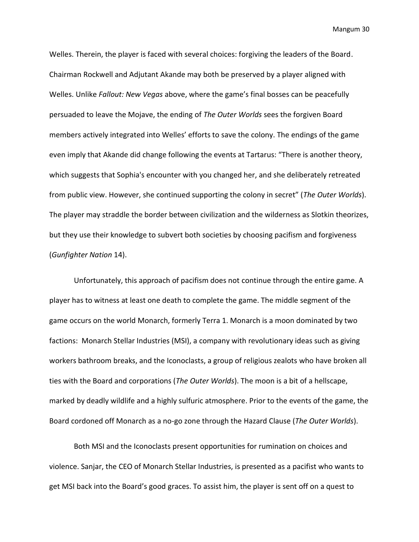Welles. Therein, the player is faced with several choices: forgiving the leaders of the Board. Chairman Rockwell and Adjutant Akande may both be preserved by a player aligned with Welles. Unlike *Fallout: New Vegas* above, where the game's final bosses can be peacefully persuaded to leave the Mojave, the ending of *The Outer Worlds* sees the forgiven Board members actively integrated into Welles' efforts to save the colony. The endings of the game even imply that Akande did change following the events at Tartarus: "There is another theory, which suggests that Sophia's encounter with you changed her, and she deliberately retreated from public view. However, she continued supporting the colony in secret" (*The Outer Worlds*). The player may straddle the border between civilization and the wilderness as Slotkin theorizes, but they use their knowledge to subvert both societies by choosing pacifism and forgiveness (*Gunfighter Nation* 14).

Unfortunately, this approach of pacifism does not continue through the entire game. A player has to witness at least one death to complete the game. The middle segment of the game occurs on the world Monarch, formerly Terra 1. Monarch is a moon dominated by two factions: Monarch Stellar Industries (MSI), a company with revolutionary ideas such as giving workers bathroom breaks, and the Iconoclasts, a group of religious zealots who have broken all ties with the Board and corporations (*The Outer Worlds*). The moon is a bit of a hellscape, marked by deadly wildlife and a highly sulfuric atmosphere. Prior to the events of the game, the Board cordoned off Monarch as a no-go zone through the Hazard Clause (*The Outer Worlds*).

Both MSI and the Iconoclasts present opportunities for rumination on choices and violence. Sanjar, the CEO of Monarch Stellar Industries, is presented as a pacifist who wants to get MSI back into the Board's good graces. To assist him, the player is sent off on a quest to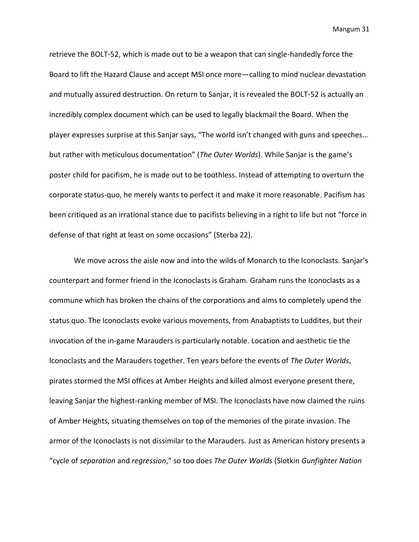retrieve the BOLT-52, which is made out to be a weapon that can single-handedly force the Board to lift the Hazard Clause and accept MSI once more—calling to mind nuclear devastation and mutually assured destruction. On return to Sanjar, it is revealed the BOLT-52 is actually an incredibly complex document which can be used to legally blackmail the Board. When the player expresses surprise at this Sanjar says, "The world isn't changed with guns and speeches… but rather with meticulous documentation" (*The Outer Worlds*). While Sanjar is the game's poster child for pacifism, he is made out to be toothless. Instead of attempting to overturn the corporate status-quo, he merely wants to perfect it and make it more reasonable. Pacifism has been critiqued as an irrational stance due to pacifists believing in a right to life but not "force in defense of that right at least on some occasions" (Sterba 22).

We move across the aisle now and into the wilds of Monarch to the Iconoclasts. Sanjar's counterpart and former friend in the Iconoclasts is Graham. Graham runs the Iconoclasts as a commune which has broken the chains of the corporations and aims to completely upend the status quo. The Iconoclasts evoke various movements, from Anabaptists to Luddites, but their invocation of the in-game Marauders is particularly notable. Location and aesthetic tie the Iconoclasts and the Marauders together. Ten years before the events of *The Outer Worlds*, pirates stormed the MSI offices at Amber Heights and killed almost everyone present there, leaving Sanjar the highest-ranking member of MSI. The Iconoclasts have now claimed the ruins of Amber Heights, situating themselves on top of the memories of the pirate invasion. The armor of the Iconoclasts is not dissimilar to the Marauders. Just as American history presents a "cycle of *separation* and *regression*," so too does *The Outer Worlds* (Slotkin *Gunfighter Nation*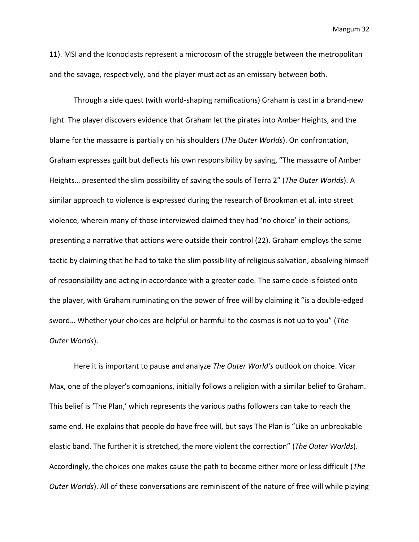11). MSI and the Iconoclasts represent a microcosm of the struggle between the metropolitan and the savage, respectively, and the player must act as an emissary between both.

Through a side quest (with world-shaping ramifications) Graham is cast in a brand-new light. The player discovers evidence that Graham let the pirates into Amber Heights, and the blame for the massacre is partially on his shoulders (*The Outer Worlds*). On confrontation, Graham expresses guilt but deflects his own responsibility by saying, "The massacre of Amber Heights… presented the slim possibility of saving the souls of Terra 2" (*The Outer Worlds*). A similar approach to violence is expressed during the research of Brookman et al. into street violence, wherein many of those interviewed claimed they had 'no choice' in their actions, presenting a narrative that actions were outside their control (22). Graham employs the same tactic by claiming that he had to take the slim possibility of religious salvation, absolving himself of responsibility and acting in accordance with a greater code. The same code is foisted onto the player, with Graham ruminating on the power of free will by claiming it "is a double-edged sword… Whether your choices are helpful or harmful to the cosmos is not up to you" (*The Outer Worlds*).

Here it is important to pause and analyze *The Outer World's* outlook on choice. Vicar Max, one of the player's companions, initially follows a religion with a similar belief to Graham. This belief is 'The Plan,' which represents the various paths followers can take to reach the same end. He explains that people do have free will, but says The Plan is "Like an unbreakable elastic band. The further it is stretched, the more violent the correction" (*The Outer Worlds*). Accordingly, the choices one makes cause the path to become either more or less difficult (*The Outer Worlds*). All of these conversations are reminiscent of the nature of free will while playing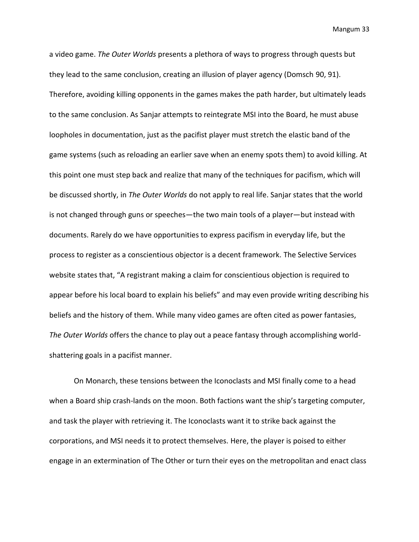a video game. *The Outer Worlds* presents a plethora of ways to progress through quests but they lead to the same conclusion, creating an illusion of player agency (Domsch 90, 91). Therefore, avoiding killing opponents in the games makes the path harder, but ultimately leads to the same conclusion. As Sanjar attempts to reintegrate MSI into the Board, he must abuse loopholes in documentation, just as the pacifist player must stretch the elastic band of the game systems (such as reloading an earlier save when an enemy spots them) to avoid killing. At this point one must step back and realize that many of the techniques for pacifism, which will be discussed shortly, in *The Outer Worlds* do not apply to real life. Sanjar states that the world is not changed through guns or speeches—the two main tools of a player—but instead with documents. Rarely do we have opportunities to express pacifism in everyday life, but the process to register as a conscientious objector is a decent framework. The Selective Services website states that, "A registrant making a claim for conscientious objection is required to appear before his local board to explain his beliefs" and may even provide writing describing his beliefs and the history of them. While many video games are often cited as power fantasies, *The Outer Worlds* offers the chance to play out a peace fantasy through accomplishing worldshattering goals in a pacifist manner.

On Monarch, these tensions between the Iconoclasts and MSI finally come to a head when a Board ship crash-lands on the moon. Both factions want the ship's targeting computer, and task the player with retrieving it. The Iconoclasts want it to strike back against the corporations, and MSI needs it to protect themselves. Here, the player is poised to either engage in an extermination of The Other or turn their eyes on the metropolitan and enact class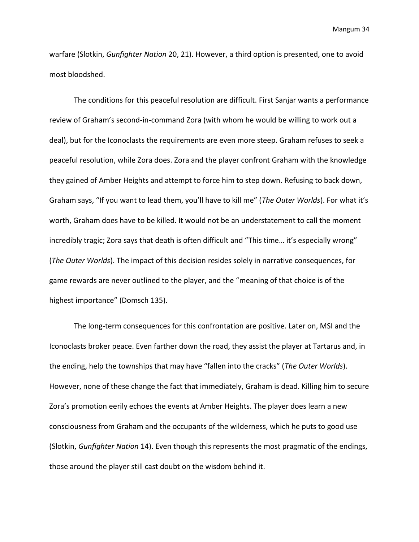warfare (Slotkin, *Gunfighter Nation* 20, 21). However, a third option is presented, one to avoid most bloodshed.

The conditions for this peaceful resolution are difficult. First Sanjar wants a performance review of Graham's second-in-command Zora (with whom he would be willing to work out a deal), but for the Iconoclasts the requirements are even more steep. Graham refuses to seek a peaceful resolution, while Zora does. Zora and the player confront Graham with the knowledge they gained of Amber Heights and attempt to force him to step down. Refusing to back down, Graham says, "If you want to lead them, you'll have to kill me" (*The Outer Worlds*). For what it's worth, Graham does have to be killed. It would not be an understatement to call the moment incredibly tragic; Zora says that death is often difficult and "This time… it's especially wrong" (*The Outer Worlds*). The impact of this decision resides solely in narrative consequences, for game rewards are never outlined to the player, and the "meaning of that choice is of the highest importance" (Domsch 135).

The long-term consequences for this confrontation are positive. Later on, MSI and the Iconoclasts broker peace. Even farther down the road, they assist the player at Tartarus and, in the ending, help the townships that may have "fallen into the cracks" (*The Outer Worlds*). However, none of these change the fact that immediately, Graham is dead. Killing him to secure Zora's promotion eerily echoes the events at Amber Heights. The player does learn a new consciousness from Graham and the occupants of the wilderness, which he puts to good use (Slotkin, *Gunfighter Nation* 14). Even though this represents the most pragmatic of the endings, those around the player still cast doubt on the wisdom behind it.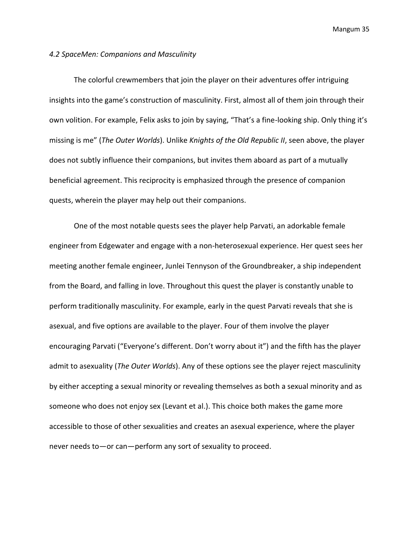#### *4.2 SpaceMen: Companions and Masculinity*

The colorful crewmembers that join the player on their adventures offer intriguing insights into the game's construction of masculinity. First, almost all of them join through their own volition. For example, Felix asks to join by saying, "That's a fine-looking ship. Only thing it's missing is me" (*The Outer Worlds*). Unlike *Knights of the Old Republic II*, seen above, the player does not subtly influence their companions, but invites them aboard as part of a mutually beneficial agreement. This reciprocity is emphasized through the presence of companion quests, wherein the player may help out their companions.

One of the most notable quests sees the player help Parvati, an adorkable female engineer from Edgewater and engage with a non-heterosexual experience. Her quest sees her meeting another female engineer, Junlei Tennyson of the Groundbreaker, a ship independent from the Board, and falling in love. Throughout this quest the player is constantly unable to perform traditionally masculinity. For example, early in the quest Parvati reveals that she is asexual, and five options are available to the player. Four of them involve the player encouraging Parvati ("Everyone's different. Don't worry about it") and the fifth has the player admit to asexuality (*The Outer Worlds*). Any of these options see the player reject masculinity by either accepting a sexual minority or revealing themselves as both a sexual minority and as someone who does not enjoy sex (Levant et al.). This choice both makes the game more accessible to those of other sexualities and creates an asexual experience, where the player never needs to—or can—perform any sort of sexuality to proceed.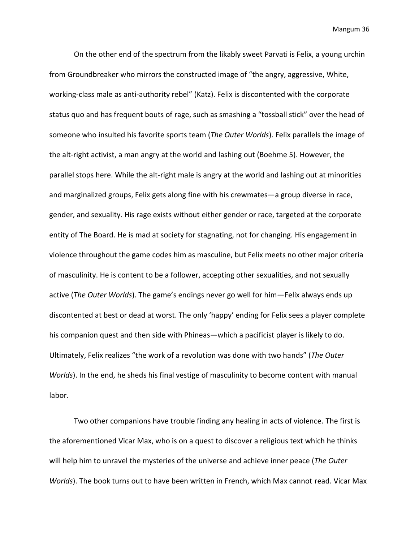On the other end of the spectrum from the likably sweet Parvati is Felix, a young urchin from Groundbreaker who mirrors the constructed image of "the angry, aggressive, White, working-class male as anti-authority rebel" (Katz). Felix is discontented with the corporate status quo and has frequent bouts of rage, such as smashing a "tossball stick" over the head of someone who insulted his favorite sports team (*The Outer Worlds*). Felix parallels the image of the alt-right activist, a man angry at the world and lashing out (Boehme 5). However, the parallel stops here. While the alt-right male is angry at the world and lashing out at minorities and marginalized groups, Felix gets along fine with his crewmates—a group diverse in race, gender, and sexuality. His rage exists without either gender or race, targeted at the corporate entity of The Board. He is mad at society for stagnating, not for changing. His engagement in violence throughout the game codes him as masculine, but Felix meets no other major criteria of masculinity. He is content to be a follower, accepting other sexualities, and not sexually active (*The Outer Worlds*). The game's endings never go well for him—Felix always ends up discontented at best or dead at worst. The only 'happy' ending for Felix sees a player complete his companion quest and then side with Phineas—which a pacificist player is likely to do. Ultimately, Felix realizes "the work of a revolution was done with two hands" (*The Outer Worlds*). In the end, he sheds his final vestige of masculinity to become content with manual labor.

Two other companions have trouble finding any healing in acts of violence. The first is the aforementioned Vicar Max, who is on a quest to discover a religious text which he thinks will help him to unravel the mysteries of the universe and achieve inner peace (*The Outer Worlds*). The book turns out to have been written in French, which Max cannot read. Vicar Max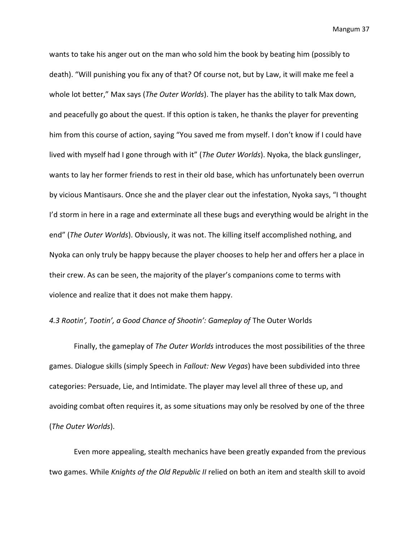wants to take his anger out on the man who sold him the book by beating him (possibly to death). "Will punishing you fix any of that? Of course not, but by Law, it will make me feel a whole lot better," Max says (*The Outer Worlds*). The player has the ability to talk Max down, and peacefully go about the quest. If this option is taken, he thanks the player for preventing him from this course of action, saying "You saved me from myself. I don't know if I could have lived with myself had I gone through with it" (*The Outer Worlds*). Nyoka, the black gunslinger, wants to lay her former friends to rest in their old base, which has unfortunately been overrun by vicious Mantisaurs. Once she and the player clear out the infestation, Nyoka says, "I thought I'd storm in here in a rage and exterminate all these bugs and everything would be alright in the end" (*The Outer Worlds*). Obviously, it was not. The killing itself accomplished nothing, and Nyoka can only truly be happy because the player chooses to help her and offers her a place in their crew. As can be seen, the majority of the player's companions come to terms with violence and realize that it does not make them happy.

# 4.3 Rootin', Tootin', a Good Chance of Shootin': Gameplay of The Outer Worlds

Finally, the gameplay of *The Outer Worlds* introduces the most possibilities of the three games. Dialogue skills (simply Speech in *Fallout: New Vegas*) have been subdivided into three categories: Persuade, Lie, and Intimidate. The player may level all three of these up, and avoiding combat often requires it, as some situations may only be resolved by one of the three (*The Outer Worlds*).

Even more appealing, stealth mechanics have been greatly expanded from the previous two games. While *Knights of the Old Republic II* relied on both an item and stealth skill to avoid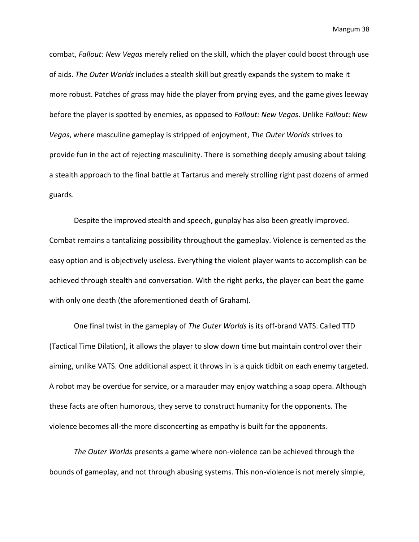combat, *Fallout: New Vegas* merely relied on the skill, which the player could boost through use of aids. *The Outer Worlds* includes a stealth skill but greatly expands the system to make it more robust. Patches of grass may hide the player from prying eyes, and the game gives leeway before the player is spotted by enemies, as opposed to *Fallout: New Vegas*. Unlike *Fallout: New Vegas*, where masculine gameplay is stripped of enjoyment, *The Outer Worlds* strives to provide fun in the act of rejecting masculinity. There is something deeply amusing about taking a stealth approach to the final battle at Tartarus and merely strolling right past dozens of armed guards.

Despite the improved stealth and speech, gunplay has also been greatly improved. Combat remains a tantalizing possibility throughout the gameplay. Violence is cemented as the easy option and is objectively useless. Everything the violent player wants to accomplish can be achieved through stealth and conversation. With the right perks, the player can beat the game with only one death (the aforementioned death of Graham).

One final twist in the gameplay of *The Outer Worlds* is its off-brand VATS. Called TTD (Tactical Time Dilation), it allows the player to slow down time but maintain control over their aiming, unlike VATS. One additional aspect it throws in is a quick tidbit on each enemy targeted. A robot may be overdue for service, or a marauder may enjoy watching a soap opera. Although these facts are often humorous, they serve to construct humanity for the opponents. The violence becomes all-the more disconcerting as empathy is built for the opponents.

*The Outer Worlds* presents a game where non-violence can be achieved through the bounds of gameplay, and not through abusing systems. This non-violence is not merely simple,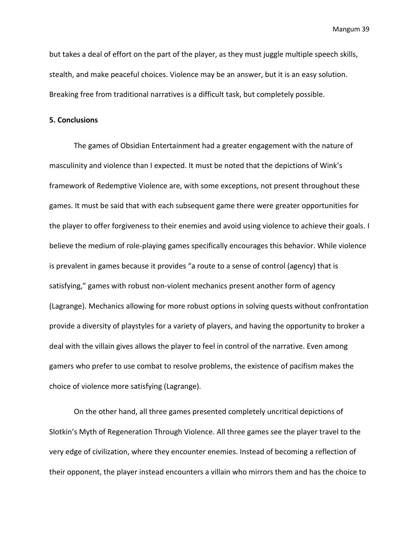but takes a deal of effort on the part of the player, as they must juggle multiple speech skills, stealth, and make peaceful choices. Violence may be an answer, but it is an easy solution. Breaking free from traditional narratives is a difficult task, but completely possible.

# **5. Conclusions**

The games of Obsidian Entertainment had a greater engagement with the nature of masculinity and violence than I expected. It must be noted that the depictions of Wink's framework of Redemptive Violence are, with some exceptions, not present throughout these games. It must be said that with each subsequent game there were greater opportunities for the player to offer forgiveness to their enemies and avoid using violence to achieve their goals. I believe the medium of role-playing games specifically encourages this behavior. While violence is prevalent in games because it provides "a route to a sense of control (agency) that is satisfying," games with robust non-violent mechanics present another form of agency (Lagrange). Mechanics allowing for more robust options in solving quests without confrontation provide a diversity of playstyles for a variety of players, and having the opportunity to broker a deal with the villain gives allows the player to feel in control of the narrative. Even among gamers who prefer to use combat to resolve problems, the existence of pacifism makes the choice of violence more satisfying (Lagrange).

On the other hand, all three games presented completely uncritical depictions of Slotkin's Myth of Regeneration Through Violence. All three games see the player travel to the very edge of civilization, where they encounter enemies. Instead of becoming a reflection of their opponent, the player instead encounters a villain who mirrors them and has the choice to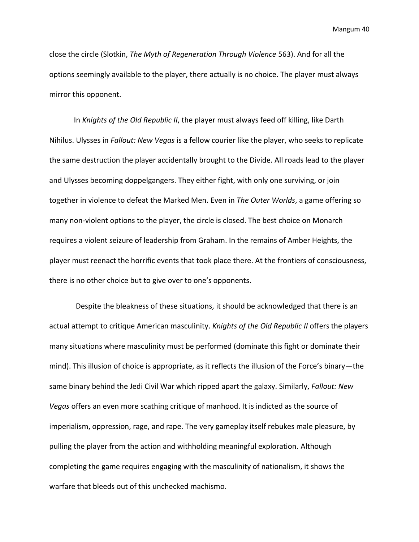close the circle (Slotkin, *The Myth of Regeneration Through Violence* 563). And for all the options seemingly available to the player, there actually is no choice. The player must always mirror this opponent.

In *Knights of the Old Republic II*, the player must always feed off killing, like Darth Nihilus. Ulysses in *Fallout: New Vegas* is a fellow courier like the player, who seeks to replicate the same destruction the player accidentally brought to the Divide. All roads lead to the player and Ulysses becoming doppelgangers. They either fight, with only one surviving, or join together in violence to defeat the Marked Men. Even in *The Outer Worlds*, a game offering so many non-violent options to the player, the circle is closed. The best choice on Monarch requires a violent seizure of leadership from Graham. In the remains of Amber Heights, the player must reenact the horrific events that took place there. At the frontiers of consciousness, there is no other choice but to give over to one's opponents.

Despite the bleakness of these situations, it should be acknowledged that there is an actual attempt to critique American masculinity. *Knights of the Old Republic II* offers the players many situations where masculinity must be performed (dominate this fight or dominate their mind). This illusion of choice is appropriate, as it reflects the illusion of the Force's binary—the same binary behind the Jedi Civil War which ripped apart the galaxy. Similarly, *Fallout: New Vegas* offers an even more scathing critique of manhood. It is indicted as the source of imperialism, oppression, rage, and rape. The very gameplay itself rebukes male pleasure, by pulling the player from the action and withholding meaningful exploration. Although completing the game requires engaging with the masculinity of nationalism, it shows the warfare that bleeds out of this unchecked machismo.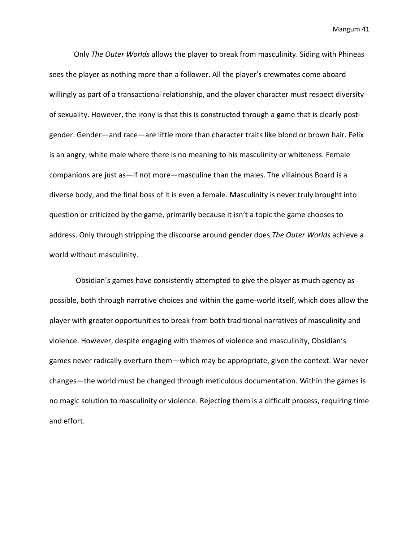Only *The Outer Worlds* allows the player to break from masculinity. Siding with Phineas sees the player as nothing more than a follower. All the player's crewmates come aboard willingly as part of a transactional relationship, and the player character must respect diversity of sexuality. However, the irony is that this is constructed through a game that is clearly postgender. Gender—and race—are little more than character traits like blond or brown hair. Felix is an angry, white male where there is no meaning to his masculinity or whiteness. Female companions are just as—if not more—masculine than the males. The villainous Board is a diverse body, and the final boss of it is even a female. Masculinity is never truly brought into question or criticized by the game, primarily because it isn't a topic the game chooses to address. Only through stripping the discourse around gender does *The Outer Worlds* achieve a world without masculinity.

Obsidian's games have consistently attempted to give the player as much agency as possible, both through narrative choices and within the game-world itself, which does allow the player with greater opportunities to break from both traditional narratives of masculinity and violence. However, despite engaging with themes of violence and masculinity, Obsidian's games never radically overturn them—which may be appropriate, given the context. War never changes—the world must be changed through meticulous documentation. Within the games is no magic solution to masculinity or violence. Rejecting them is a difficult process, requiring time and effort.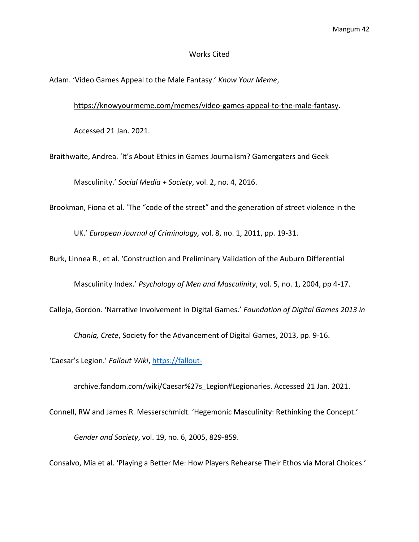## Works Cited

Adam. 'Video Games Appeal to the Male Fantasy.' *Know Your Meme*,

[https://knowyourmeme.com/memes/video-games-appeal-to-the-male-fantasy.](https://knowyourmeme.com/memes/video-games-appeal-to-the-male-fantasy)

Accessed 21 Jan. 2021.

Braithwaite, Andrea. 'It's About Ethics in Games Journalism? Gamergaters and Geek

Masculinity.' *Social Media + Society*, vol. 2, no. 4, 2016.

Brookman, Fiona et al. 'The "code of the street" and the generation of street violence in the

UK.' *European Journal of Criminology,* vol. 8, no. 1, 2011, pp. 19-31.

Burk, Linnea R., et al. 'Construction and Preliminary Validation of the Auburn Differential

Masculinity Index.' *Psychology of Men and Masculinity*, vol. 5, no. 1, 2004, pp 4-17.

Calleja, Gordon. 'Narrative Involvement in Digital Games.' *Foundation of Digital Games 2013 in* 

*Chania, Crete*, Society for the Advancement of Digital Games, 2013, pp. 9-16.

'Caesar's Legion.' *Fallout Wiki*, [https://fallout-](https://fallout-/)

archive.fandom.com/wiki/Caesar%27s\_Legion#Legionaries. Accessed 21 Jan. 2021.

Connell, RW and James R. Messerschmidt. 'Hegemonic Masculinity: Rethinking the Concept.'

*Gender and Society*, vol. 19, no. 6, 2005, 829-859.

Consalvo, Mia et al. 'Playing a Better Me: How Players Rehearse Their Ethos via Moral Choices.'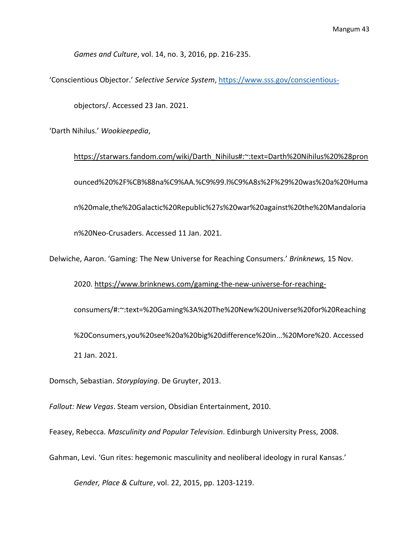*Games and Culture*, vol. 14, no. 3, 2016, pp. 216-235.

'Conscientious Objector.' *Selective Service System*,<https://www.sss.gov/conscientious->

objectors/. Accessed 23 Jan. 2021.

'Darth Nihilus.' *Wookieepedia*,

[https://starwars.fandom.com/wiki/Darth\\_Nihilus#:~:text=Darth%20Nihilus%20%28pron](https://starwars.fandom.com/wiki/Darth_Nihilus#:~:text=Darth%20Nihilus%20%28pron) ounced%20%2F%CB%88na%C9%AA.%C9%99.l%C9%A8s%2F%29%20was%20a%20Huma n%20male,the%20Galactic%20Republic%27s%20war%20against%20the%20Mandaloria n%20Neo-Crusaders. Accessed 11 Jan. 2021.

Delwiche, Aaron. 'Gaming: The New Universe for Reaching Consumers.' *Brinknews,* 15 Nov.

2020. [https://www.brinknews.com/gaming-the-new-universe-for-reaching](https://www.brinknews.com/gaming-the-new-universe-for-reaching-)consumers/#:~:text=%20Gaming%3A%20The%20New%20Universe%20for%20Reaching %20Consumers,you%20see%20a%20big%20difference%20in...%20More%20. Accessed 21 Jan. 2021.

Domsch, Sebastian. *Storyplaying*. De Gruyter, 2013.

*Fallout: New Vegas*. Steam version, Obsidian Entertainment, 2010.

Feasey, Rebecca. *Masculinity and Popular Television*. Edinburgh University Press, 2008.

Gahman, Levi. 'Gun rites: hegemonic masculinity and neoliberal ideology in rural Kansas.'

*Gender, Place & Culture*, vol. 22, 2015, pp. 1203-1219.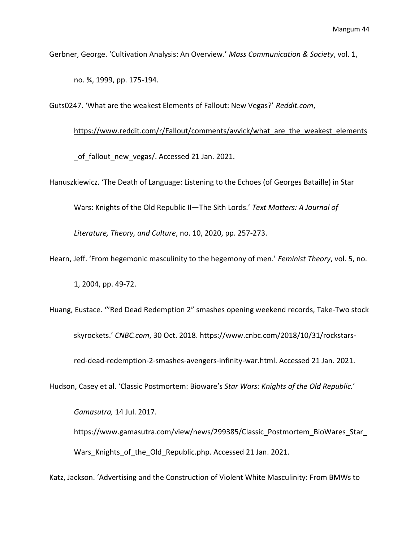Gerbner, George. 'Cultivation Analysis: An Overview.' *Mass Communication & Society*, vol. 1,

no. ¾, 1999, pp. 175-194.

Guts0247. 'What are the weakest Elements of Fallout: New Vegas?' *Reddit.com*,

### [https://www.reddit.com/r/Fallout/comments/avvick/what\\_are\\_the\\_weakest\\_elements](https://www.reddit.com/r/Fallout/comments/avvick/what_are_the_weakest_elements)

of fallout new vegas/. Accessed 21 Jan. 2021.

Hanuszkiewicz. 'The Death of Language: Listening to the Echoes (of Georges Bataille) in Star

Wars: Knights of the Old Republic II—The Sith Lords.' *Text Matters: A Journal of* 

*Literature, Theory, and Culture*, no. 10, 2020, pp. 257-273.

Hearn, Jeff. 'From hegemonic masculinity to the hegemony of men.' *Feminist Theory*, vol. 5, no.

1, 2004, pp. 49-72.

Huang, Eustace. '"Red Dead Redemption 2" smashes opening weekend records, Take-Two stock skyrockets.' *CNBC.com*, 30 Oct. 2018.<https://www.cnbc.com/2018/10/31/rockstars->

red-dead-redemption-2-smashes-avengers-infinity-war.html. Accessed 21 Jan. 2021.

Hudson, Casey et al. 'Classic Postmortem: Bioware's *Star Wars: Knights of the Old Republic.*'

*Gamasutra,* 14 Jul. 2017.

https://www.gamasutra.com/view/news/299385/Classic\_Postmortem\_BioWares\_Star\_ Wars\_Knights\_of\_the\_Old\_Republic.php. Accessed 21 Jan. 2021.

Katz, Jackson. 'Advertising and the Construction of Violent White Masculinity: From BMWs to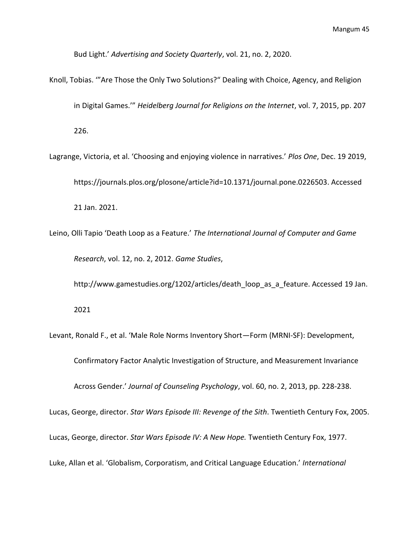Bud Light.' *Advertising and Society Quarterly*, vol. 21, no. 2, 2020.

- Knoll, Tobias. '"Are Those the Only Two Solutions?" Dealing with Choice, Agency, and Religion in Digital Games.'" *Heidelberg Journal for Religions on the Internet*, vol. 7, 2015, pp. 207 226.
- Lagrange, Victoria, et al. 'Choosing and enjoying violence in narratives.' *Plos One*, Dec. 19 2019, https://journals.plos.org/plosone/article?id=10.1371/journal.pone.0226503. Accessed 21 Jan. 2021.
- Leino, Olli Tapio 'Death Loop as a Feature.' *The International Journal of Computer and Game Research*, vol. 12, no. 2, 2012. *Game Studies*,

http://www.gamestudies.org/1202/articles/death\_loop\_as\_a\_feature. Accessed 19 Jan.

2021

Levant, Ronald F., et al. 'Male Role Norms Inventory Short—Form (MRNI-SF): Development,

Confirmatory Factor Analytic Investigation of Structure, and Measurement Invariance

Across Gender.' *Journal of Counseling Psychology*, vol. 60, no. 2, 2013, pp. 228-238.

Lucas, George, director. *Star Wars Episode III: Revenge of the Sith*. Twentieth Century Fox, 2005.

Lucas, George, director. *Star Wars Episode IV: A New Hope.* Twentieth Century Fox, 1977.

Luke, Allan et al. 'Globalism, Corporatism, and Critical Language Education.' *International*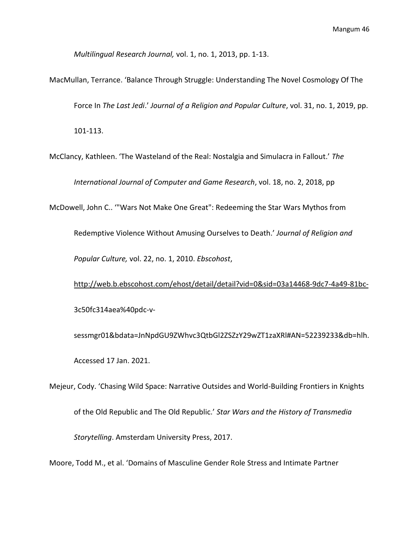*Multilingual Research Journal,* vol. 1, no. 1, 2013, pp. 1-13.

MacMullan, Terrance. 'Balance Through Struggle: Understanding The Novel Cosmology Of The Force In *The Last Jedi*.' *Journal of a Religion and Popular Culture*, vol. 31, no. 1, 2019, pp. 101-113.

McClancy, Kathleen. 'The Wasteland of the Real: Nostalgia and Simulacra in Fallout.' *The* 

*International Journal of Computer and Game Research*, vol. 18, no. 2, 2018, pp

McDowell, John C.. '"Wars Not Make One Great": Redeeming the Star Wars Mythos from

Redemptive Violence Without Amusing Ourselves to Death.' *Journal of Religion and Popular Culture,* vol. 22, no. 1, 2010. *Ebscohost*,

<http://web.b.ebscohost.com/ehost/detail/detail?vid=0&sid=03a14468-9dc7-4a49-81bc->3c50fc314aea%40pdc-v-

sessmgr01&bdata=JnNpdGU9ZWhvc3QtbGl2ZSZzY29wZT1zaXRl#AN=52239233&db=hlh. Accessed 17 Jan. 2021.

Mejeur, Cody. 'Chasing Wild Space: Narrative Outsides and World-Building Frontiers in Knights of the Old Republic and The Old Republic.' *Star Wars and the History of Transmedia Storytelling*. Amsterdam University Press, 2017.

Moore, Todd M., et al. 'Domains of Masculine Gender Role Stress and Intimate Partner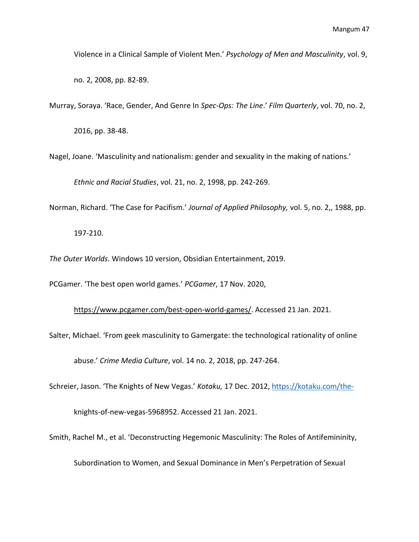Violence in a Clinical Sample of Violent Men.' *Psychology of Men and Masculinity*, vol. 9,

no. 2, 2008, pp. 82-89.

Murray, Soraya. 'Race, Gender, And Genre In *Spec-Ops: The Line*.' *Film Quarterly*, vol. 70, no. 2,

2016, pp. 38-48.

Nagel, Joane. 'Masculinity and nationalism: gender and sexuality in the making of nations.'

*Ethnic and Racial Studies*, vol. 21, no. 2, 1998, pp. 242-269.

Norman, Richard. 'The Case for Pacifism.' *Journal of Applied Philosophy,* vol. 5, no. 2,, 1988, pp.

197-210.

*The Outer Worlds*. Windows 10 version, Obsidian Entertainment, 2019.

PCGamer. 'The best open world games.' *PCGamer*, 17 Nov. 2020,

[https://www.pcgamer.com/best-open-world-games/.](https://www.pcgamer.com/best-open-world-games/) Accessed 21 Jan. 2021.

Salter, Michael. 'From geek masculinity to Gamergate: the technological rationality of online

abuse.' *Crime Media Culture*, vol. 14 no. 2, 2018, pp. 247-264.

Schreier, Jason. 'The Knights of New Vegas.' *Kotaku,* 17 Dec. 2012,<https://kotaku.com/the->

knights-of-new-vegas-5968952. Accessed 21 Jan. 2021.

Smith, Rachel M., et al. 'Deconstructing Hegemonic Masculinity: The Roles of Antifemininity,

Subordination to Women, and Sexual Dominance in Men's Perpetration of Sexual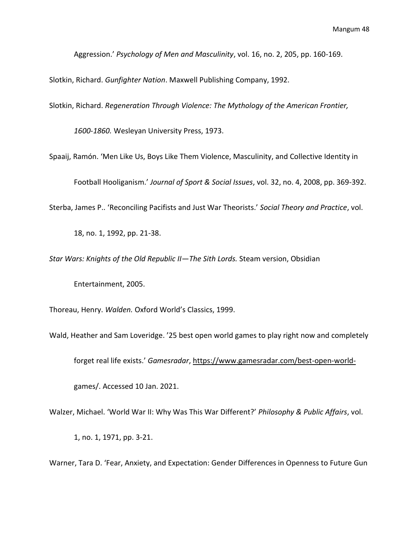Aggression.' *Psychology of Men and Masculinity*, vol. 16, no. 2, 205, pp. 160-169.

Slotkin, Richard. *Gunfighter Nation*. Maxwell Publishing Company, 1992.

Slotkin, Richard. *Regeneration Through Violence: The Mythology of the American Frontier,* 

*1600-1860.* Wesleyan University Press, 1973.

Spaaij, Ramón. 'Men Like Us, Boys Like Them Violence, Masculinity, and Collective Identity in

Football Hooliganism.' *Journal of Sport & Social Issues*, vol. 32, no. 4, 2008, pp. 369-392.

Sterba, James P.. 'Reconciling Pacifists and Just War Theorists.' *Social Theory and Practice*, vol.

18, no. 1, 1992, pp. 21-38.

*Star Wars: Knights of the Old Republic II—The Sith Lords.* Steam version, Obsidian

Entertainment, 2005.

Thoreau, Henry. *Walden.* Oxford World's Classics, 1999.

Wald, Heather and Sam Loveridge. '25 best open world games to play right now and completely

forget real life exists.' *Gamesradar*,<https://www.gamesradar.com/best-open-world->

games/. Accessed 10 Jan. 2021.

Walzer, Michael. 'World War II: Why Was This War Different?' *Philosophy & Public Affairs*, vol.

1, no. 1, 1971, pp. 3-21.

Warner, Tara D. 'Fear, Anxiety, and Expectation: Gender Differences in Openness to Future Gun